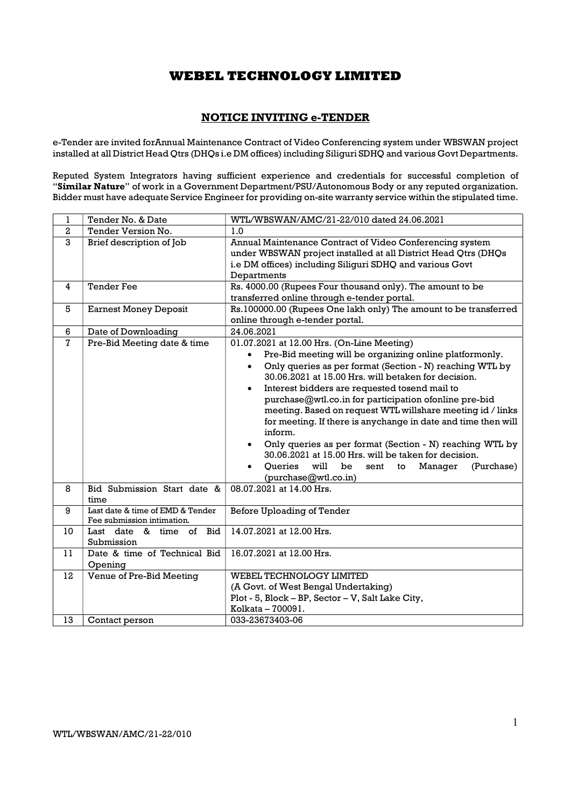### NOTICE INVITING e-TENDER

e-Tender are invited forAnnual Maintenance Contract of Video Conferencing system under WBSWAN project installed at all District Head Qtrs (DHQs i.e DM offices) including Siliguri SDHQ and various Govt Departments.

Reputed System Integrators having sufficient experience and credentials for successful completion of "Similar Nature" of work in a Government Department/PSU/Autonomous Body or any reputed organization. Bidder must have adequate Service Engineer for providing on-site warranty service within the stipulated time.

| 1                       | Tender No. & Date                                              | WTL/WBSWAN/AMC/21-22/010 dated 24.06.2021                                                                                                                                                                                                                                                                                                                                                                                                                                                                                                                                                                                                                                                                                    |  |  |
|-------------------------|----------------------------------------------------------------|------------------------------------------------------------------------------------------------------------------------------------------------------------------------------------------------------------------------------------------------------------------------------------------------------------------------------------------------------------------------------------------------------------------------------------------------------------------------------------------------------------------------------------------------------------------------------------------------------------------------------------------------------------------------------------------------------------------------------|--|--|
| $\overline{\mathbf{2}}$ | Tender Version No.                                             | 1.0                                                                                                                                                                                                                                                                                                                                                                                                                                                                                                                                                                                                                                                                                                                          |  |  |
| 3                       | Brief description of Job                                       | Annual Maintenance Contract of Video Conferencing system<br>under WBSWAN project installed at all District Head Qtrs (DHQs<br>i.e DM offices) including Siliguri SDHQ and various Govt<br>Departments                                                                                                                                                                                                                                                                                                                                                                                                                                                                                                                        |  |  |
| 4                       | <b>Tender Fee</b>                                              | Rs. 4000.00 (Rupees Four thousand only). The amount to be<br>transferred online through e-tender portal.                                                                                                                                                                                                                                                                                                                                                                                                                                                                                                                                                                                                                     |  |  |
| 5                       | <b>Earnest Money Deposit</b>                                   | Rs.100000.00 (Rupees One lakh only) The amount to be transferred<br>online through e-tender portal.                                                                                                                                                                                                                                                                                                                                                                                                                                                                                                                                                                                                                          |  |  |
| 6                       | Date of Downloading                                            | 24.06.2021                                                                                                                                                                                                                                                                                                                                                                                                                                                                                                                                                                                                                                                                                                                   |  |  |
| $\overline{7}$          | Pre-Bid Meeting date & time                                    | 01.07.2021 at 12.00 Hrs. (On-Line Meeting)<br>Pre-Bid meeting will be organizing online platformonly.<br>$\bullet$<br>Only queries as per format (Section - N) reaching WTL by<br>$\bullet$<br>30.06.2021 at 15.00 Hrs. will betaken for decision.<br>Interest bidders are requested tosend mail to<br>$\bullet$<br>purchase@wtl.co.in for participation ofonline pre-bid<br>meeting. Based on request WTL willshare meeting id / links<br>for meeting. If there is anychange in date and time then will<br>inform.<br>Only queries as per format (Section - N) reaching WTL by<br>30.06.2021 at 15.00 Hrs. will be taken for decision.<br>Queries<br>will<br>be<br>Manager<br>sent to<br>(Purchase)<br>(purchase@wtl.co.in) |  |  |
| 8                       | Bid Submission Start date &<br>time                            | 08.07.2021 at 14.00 Hrs.                                                                                                                                                                                                                                                                                                                                                                                                                                                                                                                                                                                                                                                                                                     |  |  |
| 9                       | Last date & time of EMD & Tender<br>Fee submission intimation. | Before Uploading of Tender                                                                                                                                                                                                                                                                                                                                                                                                                                                                                                                                                                                                                                                                                                   |  |  |
| 10                      | Last date & time of Bid<br>Submission                          | 14.07.2021 at 12.00 Hrs.                                                                                                                                                                                                                                                                                                                                                                                                                                                                                                                                                                                                                                                                                                     |  |  |
| 11                      | Date & time of Technical Bid<br>Opening                        | 16.07.2021 at 12.00 Hrs.                                                                                                                                                                                                                                                                                                                                                                                                                                                                                                                                                                                                                                                                                                     |  |  |
| 12                      | Venue of Pre-Bid Meeting                                       | WEBEL TECHNOLOGY LIMITED<br>(A Govt. of West Bengal Undertaking)<br>Plot - 5, Block - BP, Sector - V, Salt Lake City,<br>Kolkata - 700091.                                                                                                                                                                                                                                                                                                                                                                                                                                                                                                                                                                                   |  |  |
| 13                      | Contact person                                                 | 033-23673403-06                                                                                                                                                                                                                                                                                                                                                                                                                                                                                                                                                                                                                                                                                                              |  |  |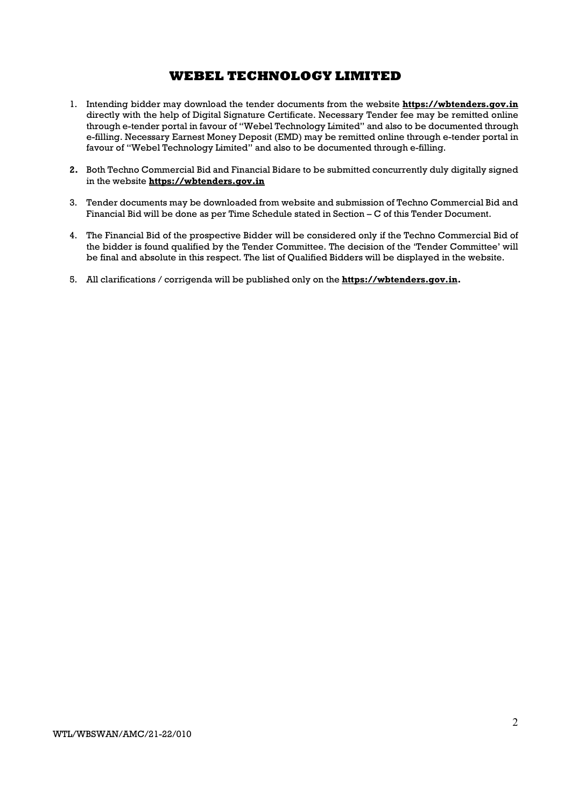- 1. Intending bidder may download the tender documents from the website https://wbtenders.gov.in directly with the help of Digital Signature Certificate. Necessary Tender fee may be remitted online through e-tender portal in favour of "Webel Technology Limited" and also to be documented through e-filling. Necessary Earnest Money Deposit (EMD) may be remitted online through e-tender portal in favour of "Webel Technology Limited" and also to be documented through e-filling.
- 2. Both Techno Commercial Bid and Financial Bidare to be submitted concurrently duly digitally signed in the website https://wbtenders.gov.in
- 3. Tender documents may be downloaded from website and submission of Techno Commercial Bid and Financial Bid will be done as per Time Schedule stated in Section – C of this Tender Document.
- 4. The Financial Bid of the prospective Bidder will be considered only if the Techno Commercial Bid of the bidder is found qualified by the Tender Committee. The decision of the 'Tender Committee' will be final and absolute in this respect. The list of Qualified Bidders will be displayed in the website.
- 5. All clarifications / corrigenda will be published only on the https://wbtenders.gov.in.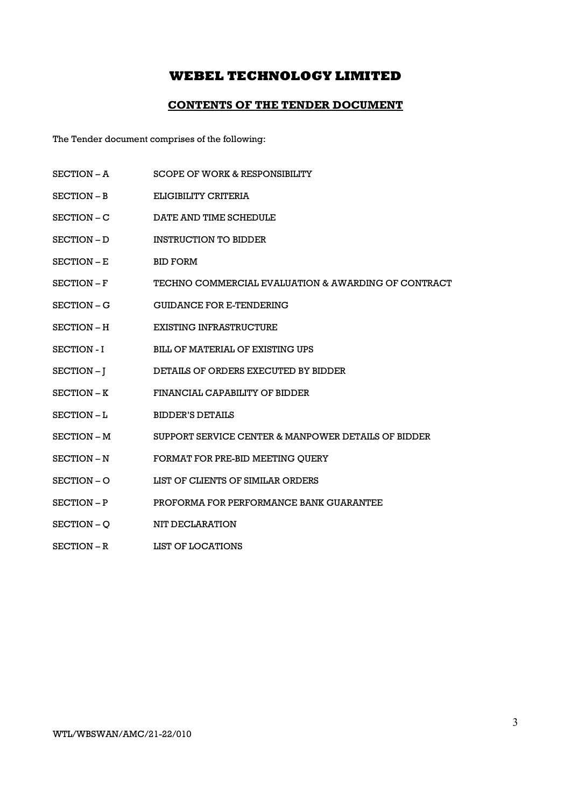### CONTENTS OF THE TENDER DOCUMENT

The Tender document comprises of the following:

- SECTION A SCOPE OF WORK & RESPONSIBILITY
- SECTION B ELIGIBILITY CRITERIA
- SECTION C DATE AND TIME SCHEDULE
- SECTION D INSTRUCTION TO BIDDER
- SECTION E BID FORM
- SECTION F TECHNO COMMERCIAL EVALUATION & AWARDING OF CONTRACT
- SECTION G GUIDANCE FOR E-TENDERING
- SECTION H EXISTING INFRASTRUCTURE
- SECTION I BILL OF MATERIAL OF EXISTING UPS
- SECTION J DETAILS OF ORDERS EXECUTED BY BIDDER
- SECTION K FINANCIAL CAPABILITY OF BIDDER
- SECTION L BIDDER'S DETAILS
- SECTION M SUPPORT SERVICE CENTER & MANPOWER DETAILS OF BIDDER
- SECTION N FORMAT FOR PRE-BID MEETING OUERY
- SECTION O LIST OF CLIENTS OF SIMILAR ORDERS
- SECTION P PROFORMA FOR PERFORMANCE BANK GUARANTEE
- SECTION O NIT DECLARATION
- SECTION R LIST OF LOCATIONS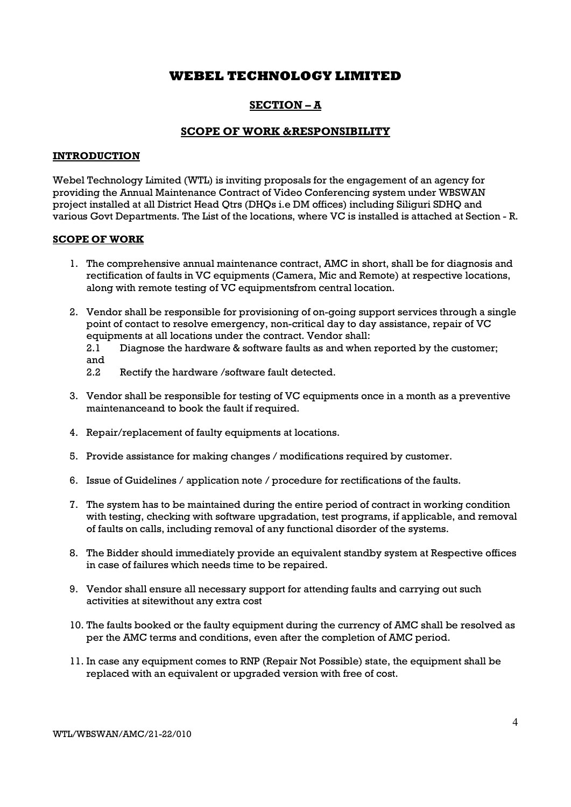### SECTION – A

### SCOPE OF WORK &RESPONSIBILITY

### INTRODUCTION

Webel Technology Limited (WTL) is inviting proposals for the engagement of an agency for providing the Annual Maintenance Contract of Video Conferencing system under WBSWAN project installed at all District Head Qtrs (DHQs i.e DM offices) including Siliguri SDHQ and various Govt Departments. The List of the locations, where VC is installed is attached at Section - R.

### SCOPE OF WORK

- 1. The comprehensive annual maintenance contract, AMC in short, shall be for diagnosis and rectification of faults in VC equipments (Camera, Mic and Remote) at respective locations, along with remote testing of VC equipmentsfrom central location.
- 2. Vendor shall be responsible for provisioning of on-going support services through a single point of contact to resolve emergency, non-critical day to day assistance, repair of VC equipments at all locations under the contract. Vendor shall:

2.1 Diagnose the hardware & software faults as and when reported by the customer; and

- 2.2 Rectify the hardware /software fault detected.
- 3. Vendor shall be responsible for testing of VC equipments once in a month as a preventive maintenanceand to book the fault if required.
- 4. Repair/replacement of faulty equipments at locations.
- 5. Provide assistance for making changes / modifications required by customer.
- 6. Issue of Guidelines / application note / procedure for rectifications of the faults.
- 7. The system has to be maintained during the entire period of contract in working condition with testing, checking with software upgradation, test programs, if applicable, and removal of faults on calls, including removal of any functional disorder of the systems.
- 8. The Bidder should immediately provide an equivalent standby system at Respective offices in case of failures which needs time to be repaired.
- 9. Vendor shall ensure all necessary support for attending faults and carrying out such activities at sitewithout any extra cost
- 10. The faults booked or the faulty equipment during the currency of AMC shall be resolved as per the AMC terms and conditions, even after the completion of AMC period.
- 11. In case any equipment comes to RNP (Repair Not Possible) state, the equipment shall be replaced with an equivalent or upgraded version with free of cost.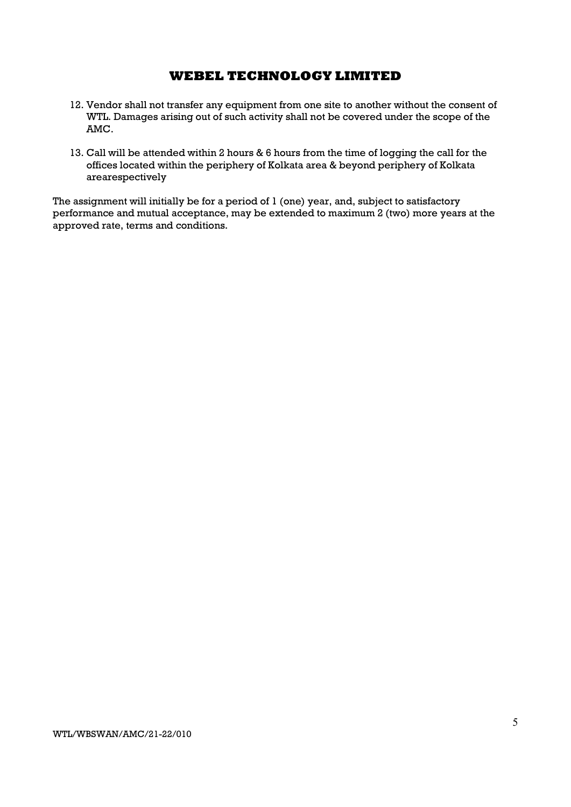- 12. Vendor shall not transfer any equipment from one site to another without the consent of WTL. Damages arising out of such activity shall not be covered under the scope of the AMC.
- 13. Call will be attended within 2 hours & 6 hours from the time of logging the call for the offices located within the periphery of Kolkata area & beyond periphery of Kolkata arearespectively

The assignment will initially be for a period of 1 (one) year, and, subject to satisfactory performance and mutual acceptance, may be extended to maximum 2 (two) more years at the approved rate, terms and conditions.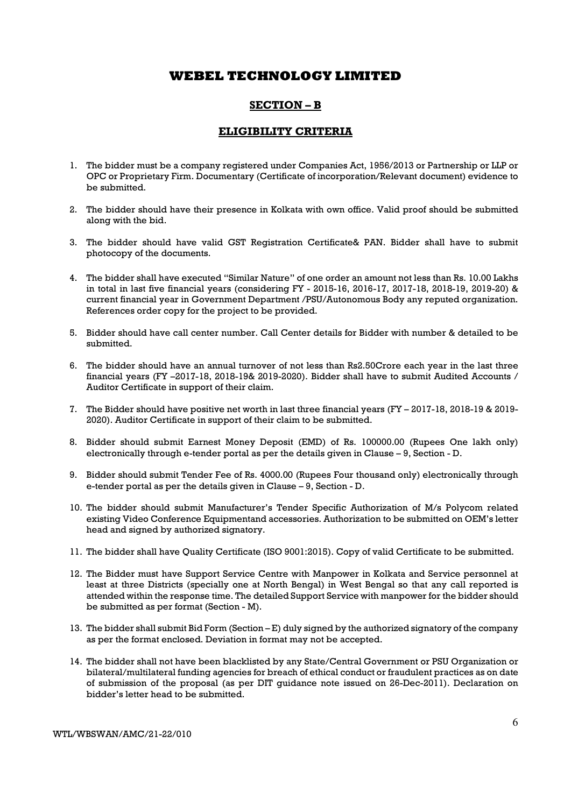### SECTION – B

### ELIGIBILITY CRITERIA

- 1. The bidder must be a company registered under Companies Act, 1956/2013 or Partnership or LLP or OPC or Proprietary Firm. Documentary (Certificate of incorporation/Relevant document) evidence to be submitted.
- 2. The bidder should have their presence in Kolkata with own office. Valid proof should be submitted along with the bid.
- 3. The bidder should have valid GST Registration Certificate& PAN. Bidder shall have to submit photocopy of the documents.
- 4. The bidder shall have executed "Similar Nature" of one order an amount not less than Rs. 10.00 Lakhs in total in last five financial years (considering FY - 2015-16, 2016-17, 2017-18, 2018-19, 2019-20) & current financial year in Government Department /PSU/Autonomous Body any reputed organization. References order copy for the project to be provided.
- 5. Bidder should have call center number. Call Center details for Bidder with number & detailed to be submitted.
- 6. The bidder should have an annual turnover of not less than Rs2.50Crore each year in the last three financial years (FY –2017-18, 2018-19& 2019-2020). Bidder shall have to submit Audited Accounts / Auditor Certificate in support of their claim.
- 7. The Bidder should have positive net worth in last three financial years (FY 2017-18, 2018-19 & 2019- 2020). Auditor Certificate in support of their claim to be submitted.
- 8. Bidder should submit Earnest Money Deposit (EMD) of Rs. 100000.00 (Rupees One lakh only) electronically through e-tender portal as per the details given in Clause – 9, Section - D.
- 9. Bidder should submit Tender Fee of Rs. 4000.00 (Rupees Four thousand only) electronically through e-tender portal as per the details given in Clause – 9, Section - D.
- 10. The bidder should submit Manufacturer's Tender Specific Authorization of M/s Polycom related existing Video Conference Equipmentand accessories. Authorization to be submitted on OEM's letter head and signed by authorized signatory.
- 11. The bidder shall have Quality Certificate (ISO 9001:2015). Copy of valid Certificate to be submitted.
- 12. The Bidder must have Support Service Centre with Manpower in Kolkata and Service personnel at least at three Districts (specially one at North Bengal) in West Bengal so that any call reported is attended within the response time. The detailed Support Service with manpower for the bidder should be submitted as per format (Section - M).
- 13. The bidder shall submit Bid Form (Section E) duly signed by the authorized signatory of the company as per the format enclosed. Deviation in format may not be accepted.
- 14. The bidder shall not have been blacklisted by any State/Central Government or PSU Organization or bilateral/multilateral funding agencies for breach of ethical conduct or fraudulent practices as on date of submission of the proposal (as per DIT guidance note issued on 26-Dec-2011). Declaration on bidder's letter head to be submitted.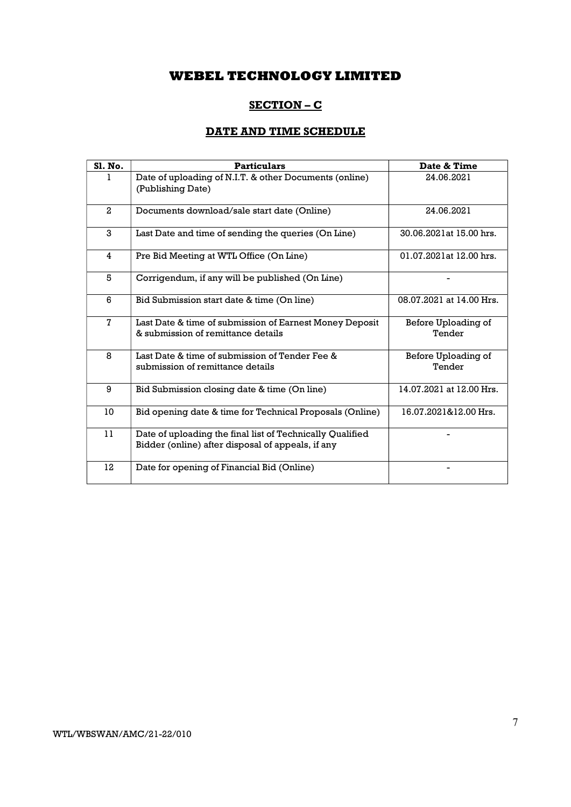# SECTION – C

## DATE AND TIME SCHEDULE

| Sl. No.        | <b>Particulars</b>                                                                                             | Date & Time                   |
|----------------|----------------------------------------------------------------------------------------------------------------|-------------------------------|
| 1.             | Date of uploading of N.I.T. & other Documents (online)<br>(Publishing Date)                                    | 24.06.2021                    |
| $\overline{a}$ | Documents download/sale start date (Online)                                                                    | 24.06.2021                    |
| 3              | Last Date and time of sending the queries (On Line)                                                            | 30.06.2021at 15.00 hrs.       |
| 4              | Pre Bid Meeting at WTL Office (On Line)                                                                        | 01.07.2021at 12.00 hrs.       |
| 5              | Corrigendum, if any will be published (On Line)                                                                |                               |
| 6              | Bid Submission start date & time (On line)                                                                     | 08.07.2021 at 14.00 Hrs.      |
| $\mathbf 7$    | Last Date & time of submission of Earnest Money Deposit<br>& submission of remittance details                  | Before Uploading of<br>Tender |
| 8              | Last Date & time of submission of Tender Fee &<br>submission of remittance details                             | Before Uploading of<br>Tender |
| 9              | Bid Submission closing date & time (On line)                                                                   | 14.07.2021 at 12.00 Hrs.      |
| 10             | Bid opening date & time for Technical Proposals (Online)                                                       | 16.07.2021&12.00 Hrs.         |
| 11             | Date of uploading the final list of Technically Qualified<br>Bidder (online) after disposal of appeals, if any |                               |
| 12             | Date for opening of Financial Bid (Online)                                                                     |                               |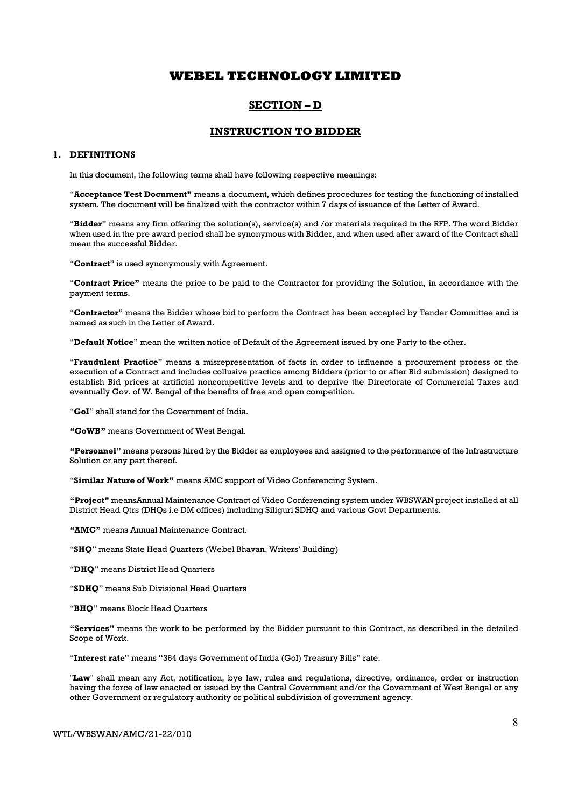### SECTION – D

### INSTRUCTION TO BIDDER

#### 1. DEFINITIONS

In this document, the following terms shall have following respective meanings:

"Acceptance Test Document" means a document, which defines procedures for testing the functioning of installed system. The document will be finalized with the contractor within 7 days of issuance of the Letter of Award.

"Bidder" means any firm offering the solution(s), service(s) and /or materials required in the RFP. The word Bidder when used in the pre award period shall be synonymous with Bidder, and when used after award of the Contract shall mean the successful Bidder.

"Contract" is used synonymously with Agreement.

"Contract Price" means the price to be paid to the Contractor for providing the Solution, in accordance with the payment terms.

"Contractor" means the Bidder whose bid to perform the Contract has been accepted by Tender Committee and is named as such in the Letter of Award.

"Default Notice" mean the written notice of Default of the Agreement issued by one Party to the other.

"Fraudulent Practice" means a misrepresentation of facts in order to influence a procurement process or the execution of a Contract and includes collusive practice among Bidders (prior to or after Bid submission) designed to establish Bid prices at artificial noncompetitive levels and to deprive the Directorate of Commercial Taxes and eventually Gov. of W. Bengal of the benefits of free and open competition.

"GoI" shall stand for the Government of India.

"GoWB" means Government of West Bengal.

"Personnel" means persons hired by the Bidder as employees and assigned to the performance of the Infrastructure Solution or any part thereof.

"Similar Nature of Work" means AMC support of Video Conferencing System.

"Project" meansAnnual Maintenance Contract of Video Conferencing system under WBSWAN project installed at all District Head Qtrs (DHQs i.e DM offices) including Siliguri SDHQ and various Govt Departments.

"AMC" means Annual Maintenance Contract.

"SHQ" means State Head Quarters (Webel Bhavan, Writers' Building)

"DHQ" means District Head Quarters

"SDHQ" means Sub Divisional Head Quarters

"BHQ" means Block Head Quarters

"Services" means the work to be performed by the Bidder pursuant to this Contract, as described in the detailed Scope of Work.

"Interest rate" means "364 days Government of India (GoI) Treasury Bills" rate.

"Law" shall mean any Act, notification, bye law, rules and regulations, directive, ordinance, order or instruction having the force of law enacted or issued by the Central Government and/or the Government of West Bengal or any other Government or regulatory authority or political subdivision of government agency.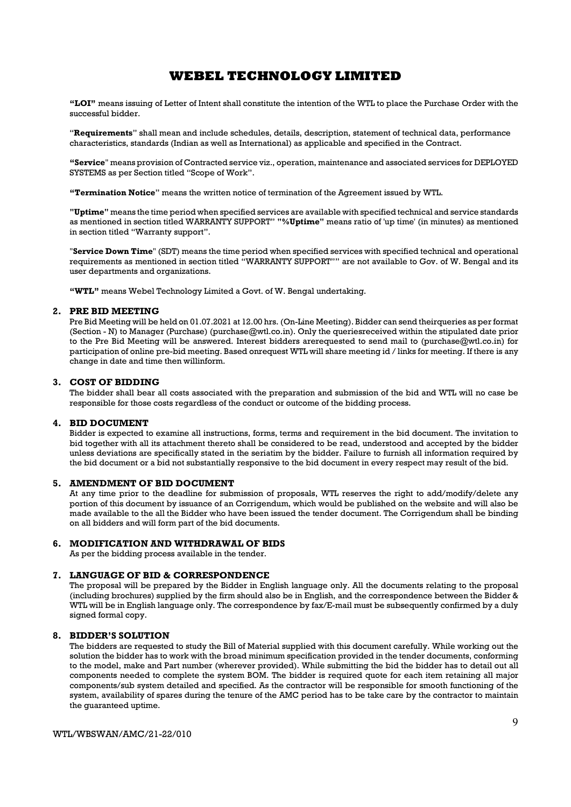"LOI" means issuing of Letter of Intent shall constitute the intention of the WTL to place the Purchase Order with the successful bidder.

"Requirements" shall mean and include schedules, details, description, statement of technical data, performance characteristics, standards (Indian as well as International) as applicable and specified in the Contract.

"Service" means provision of Contracted service viz., operation, maintenance and associated services for DEPLOYED SYSTEMS as per Section titled "Scope of Work".

"Termination Notice" means the written notice of termination of the Agreement issued by WTL.

"Uptime" means the time period when specified services are available with specified technical and service standards as mentioned in section titled WARRANTY SUPPORT" "%Uptime" means ratio of 'up time' (in minutes) as mentioned in section titled "Warranty support".

"Service Down Time" (SDT) means the time period when specified services with specified technical and operational requirements as mentioned in section titled "WARRANTY SUPPORT"" are not available to Gov. of W. Bengal and its user departments and organizations.

"WTL" means Webel Technology Limited a Govt. of W. Bengal undertaking.

### 2. PRE BID MEETING

Pre Bid Meeting will be held on 01.07.2021 at 12.00 hrs. (On-Line Meeting). Bidder can send theirqueries as per format (Section - N) to Manager (Purchase) (purchase@wtl.co.in). Only the queriesreceived within the stipulated date prior to the Pre Bid Meeting will be answered. Interest bidders arerequested to send mail to (purchase@wtl.co.in) for participation of online pre-bid meeting. Based onrequest WTL will share meeting id / links for meeting. If there is any change in date and time then willinform.

#### 3. COST OF BIDDING

The bidder shall bear all costs associated with the preparation and submission of the bid and WTL will no case be responsible for those costs regardless of the conduct or outcome of the bidding process.

#### 4. BID DOCUMENT

Bidder is expected to examine all instructions, forms, terms and requirement in the bid document. The invitation to bid together with all its attachment thereto shall be considered to be read, understood and accepted by the bidder unless deviations are specifically stated in the seriatim by the bidder. Failure to furnish all information required by the bid document or a bid not substantially responsive to the bid document in every respect may result of the bid.

#### 5. AMENDMENT OF BID DOCUMENT

At any time prior to the deadline for submission of proposals, WTL reserves the right to add/modify/delete any portion of this document by issuance of an Corrigendum, which would be published on the website and will also be made available to the all the Bidder who have been issued the tender document. The Corrigendum shall be binding on all bidders and will form part of the bid documents.

#### 6. MODIFICATION AND WITHDRAWAL OF BIDS

As per the bidding process available in the tender.

#### 7. LANGUAGE OF BID & CORRESPONDENCE

The proposal will be prepared by the Bidder in English language only. All the documents relating to the proposal (including brochures) supplied by the firm should also be in English, and the correspondence between the Bidder & WTL will be in English language only. The correspondence by fax/E-mail must be subsequently confirmed by a duly signed formal copy.

#### 8. BIDDER'S SOLUTION

The bidders are requested to study the Bill of Material supplied with this document carefully. While working out the solution the bidder has to work with the broad minimum specification provided in the tender documents, conforming to the model, make and Part number (wherever provided). While submitting the bid the bidder has to detail out all components needed to complete the system BOM. The bidder is required quote for each item retaining all major components/sub system detailed and specified. As the contractor will be responsible for smooth functioning of the system, availability of spares during the tenure of the AMC period has to be take care by the contractor to maintain the guaranteed uptime.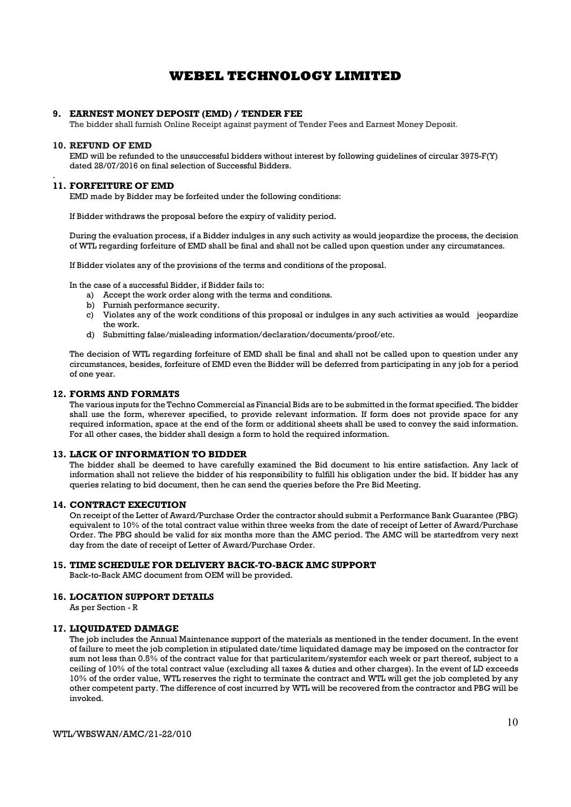#### 9. EARNEST MONEY DEPOSIT (EMD) / TENDER FEE

The bidder shall furnish Online Receipt against payment of Tender Fees and Earnest Money Deposit.

#### 10. REFUND OF EMD

EMD will be refunded to the unsuccessful bidders without interest by following guidelines of circular 3975-F(Y) dated 28/07/2016 on final selection of Successful Bidders.

#### . 11. FORFEITURE OF EMD

EMD made by Bidder may be forfeited under the following conditions:

If Bidder withdraws the proposal before the expiry of validity period.

During the evaluation process, if a Bidder indulges in any such activity as would jeopardize the process, the decision of WTL regarding forfeiture of EMD shall be final and shall not be called upon question under any circumstances.

If Bidder violates any of the provisions of the terms and conditions of the proposal.

In the case of a successful Bidder, if Bidder fails to:

- a) Accept the work order along with the terms and conditions.
- b) Furnish performance security.
- c) Violates any of the work conditions of this proposal or indulges in any such activities as would jeopardize the work.
- d) Submitting false/misleading information/declaration/documents/proof/etc.

The decision of WTL regarding forfeiture of EMD shall be final and shall not be called upon to question under any circumstances, besides, forfeiture of EMD even the Bidder will be deferred from participating in any job for a period of one year.

#### 12. FORMS AND FORMATS

The various inputs for the Techno Commercial as Financial Bids are to be submitted in the format specified. The bidder shall use the form, wherever specified, to provide relevant information. If form does not provide space for any required information, space at the end of the form or additional sheets shall be used to convey the said information. For all other cases, the bidder shall design a form to hold the required information.

#### 13. LACK OF INFORMATION TO BIDDER

The bidder shall be deemed to have carefully examined the Bid document to his entire satisfaction. Any lack of information shall not relieve the bidder of his responsibility to fulfill his obligation under the bid. If bidder has any queries relating to bid document, then he can send the queries before the Pre Bid Meeting.

#### 14. CONTRACT EXECUTION

On receipt of the Letter of Award/Purchase Order the contractor should submit a Performance Bank Guarantee (PBG) equivalent to 10% of the total contract value within three weeks from the date of receipt of Letter of Award/Purchase Order. The PBG should be valid for six months more than the AMC period. The AMC will be startedfrom very next day from the date of receipt of Letter of Award/Purchase Order.

#### 15. TIME SCHEDULE FOR DELIVERY BACK-TO-BACK AMC SUPPORT

Back-to-Back AMC document from OEM will be provided.

#### 16. LOCATION SUPPORT DETAILS

As per Section - R

#### 17. LIQUIDATED DAMAGE

The job includes the Annual Maintenance support of the materials as mentioned in the tender document. In the event of failure to meet the job completion in stipulated date/time liquidated damage may be imposed on the contractor for sum not less than 0.5% of the contract value for that particularitem/systemfor each week or part thereof, subject to a ceiling of 10% of the total contract value (excluding all taxes & duties and other charges). In the event of LD exceeds 10% of the order value, WTL reserves the right to terminate the contract and WTL will get the job completed by any other competent party. The difference of cost incurred by WTL will be recovered from the contractor and PBG will be invoked.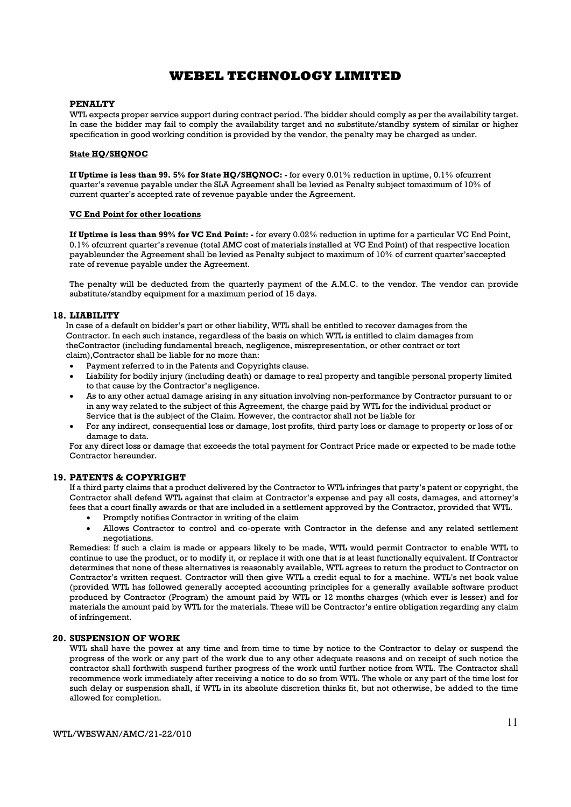#### PENALTY

WTL expects proper service support during contract period. The bidder should comply as per the availability target. In case the bidder may fail to comply the availability target and no substitute/standby system of similar or higher specification in good working condition is provided by the vendor, the penalty may be charged as under.

#### State HO/SHONOC

If Uptime is less than 99. 5% for State HQ/SHQNOC: - for every 0.01% reduction in uptime, 0.1% ofcurrent quarter's revenue payable under the SLA Agreement shall be levied as Penalty subject tomaximum of 10% of current quarter's accepted rate of revenue payable under the Agreement.

#### VC End Point for other locations

If Uptime is less than 99% for VC End Point: - for every 0.02% reduction in uptime for a particular VC End Point, 0.1% ofcurrent quarter's revenue (total AMC cost of materials installed at VC End Point) of that respective location payableunder the Agreement shall be levied as Penalty subject to maximum of 10% of current quarter'saccepted rate of revenue payable under the Agreement.

The penalty will be deducted from the quarterly payment of the A.M.C. to the vendor. The vendor can provide substitute/standby equipment for a maximum period of 15 days.

#### 18. LIABILITY

In case of a default on bidder's part or other liability, WTL shall be entitled to recover damages from the Contractor. In each such instance, regardless of the basis on which WTL is entitled to claim damages from theContractor (including fundamental breach, negligence, misrepresentation, or other contract or tort claim),Contractor shall be liable for no more than:

- Payment referred to in the Patents and Copyrights clause.
- Liability for bodily injury (including death) or damage to real property and tangible personal property limited to that cause by the Contractor's negligence.
- As to any other actual damage arising in any situation involving non-performance by Contractor pursuant to or in any way related to the subject of this Agreement, the charge paid by WTL for the individual product or Service that is the subject of the Claim. However, the contractor shall not be liable for
- For any indirect, consequential loss or damage, lost profits, third party loss or damage to property or loss of or damage to data.

For any direct loss or damage that exceeds the total payment for Contract Price made or expected to be made tothe Contractor hereunder.

#### 19. PATENTS & COPYRIGHT

If a third party claims that a product delivered by the Contractor to WTL infringes that party's patent or copyright, the Contractor shall defend WTL against that claim at Contractor's expense and pay all costs, damages, and attorney's fees that a court finally awards or that are included in a settlement approved by the Contractor, provided that WTL.

- Promptly notifies Contractor in writing of the claim
- Allows Contractor to control and co-operate with Contractor in the defense and any related settlement negotiations.

Remedies: If such a claim is made or appears likely to be made, WTL would permit Contractor to enable WTL to continue to use the product, or to modify it, or replace it with one that is at least functionally equivalent. If Contractor determines that none of these alternatives is reasonably available, WTL agrees to return the product to Contractor on Contractor's written request. Contractor will then give WTL a credit equal to for a machine. WTL's net book value (provided WTL has followed generally accepted accounting principles for a generally available software product produced by Contractor (Program) the amount paid by WTL or 12 months charges (which ever is lesser) and for materials the amount paid by WTL for the materials. These will be Contractor's entire obligation regarding any claim of infringement.

#### 20. SUSPENSION OF WORK

WTL shall have the power at any time and from time to time by notice to the Contractor to delay or suspend the progress of the work or any part of the work due to any other adequate reasons and on receipt of such notice the contractor shall forthwith suspend further progress of the work until further notice from WTL. The Contractor shall recommence work immediately after receiving a notice to do so from WTL. The whole or any part of the time lost for such delay or suspension shall, if WTL in its absolute discretion thinks fit, but not otherwise, be added to the time allowed for completion.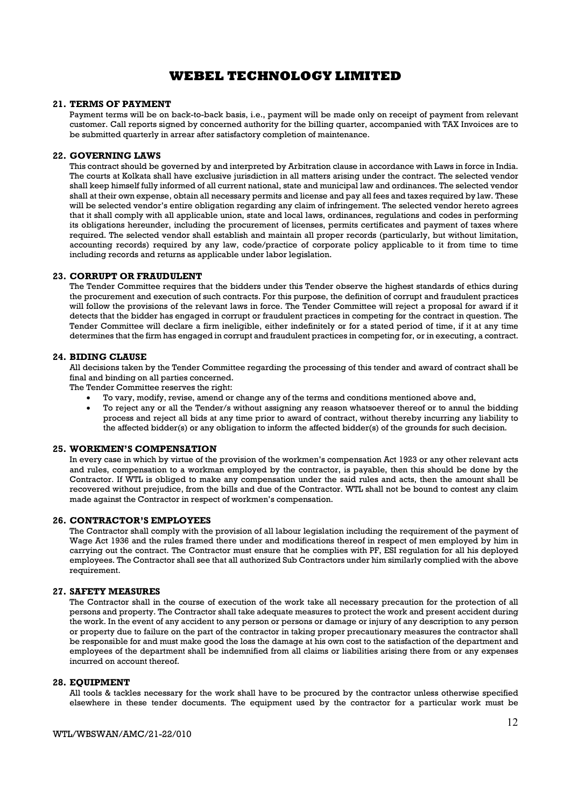#### 21. TERMS OF PAYMENT

Payment terms will be on back-to-back basis, i.e., payment will be made only on receipt of payment from relevant customer. Call reports signed by concerned authority for the billing quarter, accompanied with TAX Invoices are to be submitted quarterly in arrear after satisfactory completion of maintenance.

#### 22. GOVERNING LAWS

This contract should be governed by and interpreted by Arbitration clause in accordance with Laws in force in India. The courts at Kolkata shall have exclusive jurisdiction in all matters arising under the contract. The selected vendor shall keep himself fully informed of all current national, state and municipal law and ordinances. The selected vendor shall at their own expense, obtain all necessary permits and license and pay all fees and taxes required by law. These will be selected vendor's entire obligation regarding any claim of infringement. The selected vendor hereto agrees that it shall comply with all applicable union, state and local laws, ordinances, regulations and codes in performing its obligations hereunder, including the procurement of licenses, permits certificates and payment of taxes where required. The selected vendor shall establish and maintain all proper records (particularly, but without limitation, accounting records) required by any law, code/practice of corporate policy applicable to it from time to time including records and returns as applicable under labor legislation.

#### 23. CORRUPT OR FRAUDULENT

The Tender Committee requires that the bidders under this Tender observe the highest standards of ethics during the procurement and execution of such contracts. For this purpose, the definition of corrupt and fraudulent practices will follow the provisions of the relevant laws in force. The Tender Committee will reject a proposal for award if it detects that the bidder has engaged in corrupt or fraudulent practices in competing for the contract in question. The Tender Committee will declare a firm ineligible, either indefinitely or for a stated period of time, if it at any time determines that the firm has engaged in corrupt and fraudulent practices in competing for, or in executing, a contract.

#### 24. BIDING CLAUSE

All decisions taken by the Tender Committee regarding the processing of this tender and award of contract shall be final and binding on all parties concerned.

The Tender Committee reserves the right:

- To vary, modify, revise, amend or change any of the terms and conditions mentioned above and,
- To reject any or all the Tender/s without assigning any reason whatsoever thereof or to annul the bidding process and reject all bids at any time prior to award of contract, without thereby incurring any liability to the affected bidder(s) or any obligation to inform the affected bidder(s) of the grounds for such decision.

#### 25. WORKMEN'S COMPENSATION

In every case in which by virtue of the provision of the workmen's compensation Act 1923 or any other relevant acts and rules, compensation to a workman employed by the contractor, is payable, then this should be done by the Contractor. If WTL is obliged to make any compensation under the said rules and acts, then the amount shall be recovered without prejudice, from the bills and due of the Contractor. WTL shall not be bound to contest any claim made against the Contractor in respect of workmen's compensation.

#### 26. CONTRACTOR'S EMPLOYEES

The Contractor shall comply with the provision of all labour legislation including the requirement of the payment of Wage Act 1936 and the rules framed there under and modifications thereof in respect of men employed by him in carrying out the contract. The Contractor must ensure that he complies with PF, ESI regulation for all his deployed employees. The Contractor shall see that all authorized Sub Contractors under him similarly complied with the above requirement.

#### 27. SAFETY MEASURES

The Contractor shall in the course of execution of the work take all necessary precaution for the protection of all persons and property. The Contractor shall take adequate measures to protect the work and present accident during the work. In the event of any accident to any person or persons or damage or injury of any description to any person or property due to failure on the part of the contractor in taking proper precautionary measures the contractor shall be responsible for and must make good the loss the damage at his own cost to the satisfaction of the department and employees of the department shall be indemnified from all claims or liabilities arising there from or any expenses incurred on account thereof.

#### 28. EQUIPMENT

All tools & tackles necessary for the work shall have to be procured by the contractor unless otherwise specified elsewhere in these tender documents. The equipment used by the contractor for a particular work must be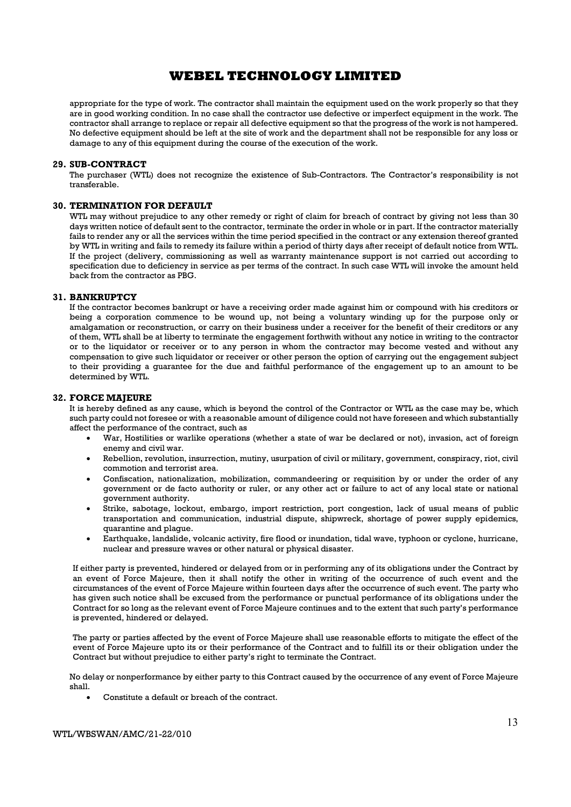appropriate for the type of work. The contractor shall maintain the equipment used on the work properly so that they are in good working condition. In no case shall the contractor use defective or imperfect equipment in the work. The contractor shall arrange to replace or repair all defective equipment so that the progress of the work is not hampered. No defective equipment should be left at the site of work and the department shall not be responsible for any loss or damage to any of this equipment during the course of the execution of the work.

#### 29. SUB-CONTRACT

The purchaser (WTL) does not recognize the existence of Sub-Contractors. The Contractor's responsibility is not transferable.

### 30. TERMINATION FOR DEFAULT

WTL may without prejudice to any other remedy or right of claim for breach of contract by giving not less than 30 days written notice of default sent to the contractor, terminate the order in whole or in part. If the contractor materially fails to render any or all the services within the time period specified in the contract or any extension thereof granted by WTL in writing and fails to remedy its failure within a period of thirty days after receipt of default notice from WTL. If the project (delivery, commissioning as well as warranty maintenance support is not carried out according to specification due to deficiency in service as per terms of the contract. In such case WTL will invoke the amount held back from the contractor as PBG.

#### 31. BANKRUPTCY

If the contractor becomes bankrupt or have a receiving order made against him or compound with his creditors or being a corporation commence to be wound up, not being a voluntary winding up for the purpose only or amalgamation or reconstruction, or carry on their business under a receiver for the benefit of their creditors or any of them, WTL shall be at liberty to terminate the engagement forthwith without any notice in writing to the contractor or to the liquidator or receiver or to any person in whom the contractor may become vested and without any compensation to give such liquidator or receiver or other person the option of carrying out the engagement subject to their providing a guarantee for the due and faithful performance of the engagement up to an amount to be determined by WTL.

#### 32. FORCE MAJEURE

It is hereby defined as any cause, which is beyond the control of the Contractor or WTL as the case may be, which such party could not foresee or with a reasonable amount of diligence could not have foreseen and which substantially affect the performance of the contract, such as

- War, Hostilities or warlike operations (whether a state of war be declared or not), invasion, act of foreign enemy and civil war.
- Rebellion, revolution, insurrection, mutiny, usurpation of civil or military, government, conspiracy, riot, civil commotion and terrorist area.
- Confiscation, nationalization, mobilization, commandeering or requisition by or under the order of any government or de facto authority or ruler, or any other act or failure to act of any local state or national government authority.
- Strike, sabotage, lockout, embargo, import restriction, port congestion, lack of usual means of public transportation and communication, industrial dispute, shipwreck, shortage of power supply epidemics, quarantine and plague.
- Earthquake, landslide, volcanic activity, fire flood or inundation, tidal wave, typhoon or cyclone, hurricane, nuclear and pressure waves or other natural or physical disaster.

If either party is prevented, hindered or delayed from or in performing any of its obligations under the Contract by an event of Force Majeure, then it shall notify the other in writing of the occurrence of such event and the circumstances of the event of Force Majeure within fourteen days after the occurrence of such event. The party who has given such notice shall be excused from the performance or punctual performance of its obligations under the Contract for so long as the relevant event of Force Majeure continues and to the extent that such party's performance is prevented, hindered or delayed.

The party or parties affected by the event of Force Majeure shall use reasonable efforts to mitigate the effect of the event of Force Majeure upto its or their performance of the Contract and to fulfill its or their obligation under the Contract but without prejudice to either party's right to terminate the Contract.

No delay or nonperformance by either party to this Contract caused by the occurrence of any event of Force Majeure shall.

Constitute a default or breach of the contract.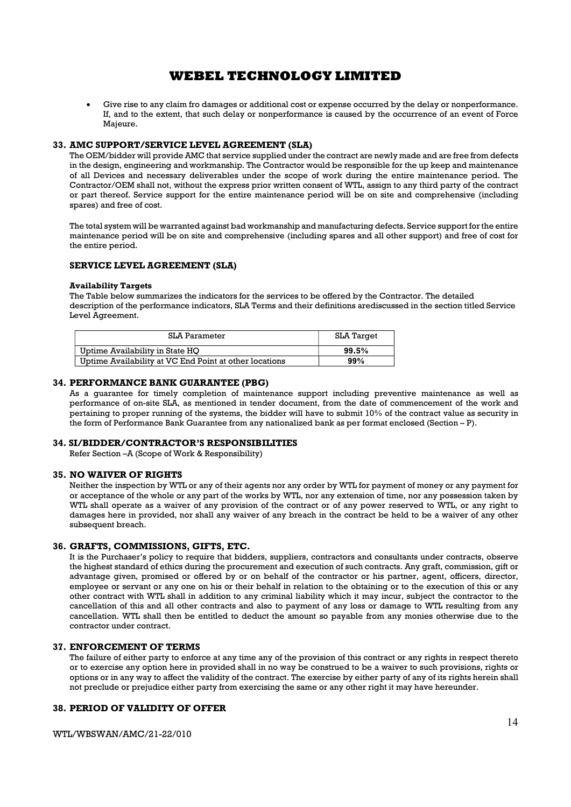Give rise to any claim fro damages or additional cost or expense occurred by the delay or nonperformance. If, and to the extent, that such delay or nonperformance is caused by the occurrence of an event of Force Majeure.

#### 33. AMC SUPPORT/SERVICE LEVEL AGREEMENT (SLA)

The OEM/bidder will provide AMC that service supplied under the contract are newly made and are free from defects in the design, engineering and workmanship. The Contractor would be responsible for the up keep and maintenance of all Devices and necessary deliverables under the scope of work during the entire maintenance period. The Contractor/OEM shall not, without the express prior written consent of WTL, assign to any third party of the contract or part thereof. Service support for the entire maintenance period will be on site and comprehensive (including spares) and free of cost.

The total system will be warranted against bad workmanship and manufacturing defects. Service support for the entire maintenance period will be on site and comprehensive (including spares and all other support) and free of cost for the entire period.

#### SERVICE LEVEL AGREEMENT (SLA)

#### Availability Targets

The Table below summarizes the indicators for the services to be offered by the Contractor. The detailed description of the performance indicators, SLA Terms and their definitions arediscussed in the section titled Service Level Agreement.

| SLA Parameter                                          | SLA Target |
|--------------------------------------------------------|------------|
| Uptime Availability in State HO                        | 99.5%      |
| Uptime Availability at VC End Point at other locations | 99%        |

#### 34. PERFORMANCE BANK GUARANTEE (PBG)

As a guarantee for timely completion of maintenance support including preventive maintenance as well as performance of on-site SLA, as mentioned in tender document, from the date of commencement of the work and pertaining to proper running of the systems, the bidder will have to submit 10% of the contract value as security in the form of Performance Bank Guarantee from any nationalized bank as per format enclosed (Section – P).

#### 34. SI/BIDDER/CONTRACTOR'S RESPONSIBILITIES

Refer Section –A (Scope of Work & Responsibility)

#### 35. NO WAIVER OF RIGHTS

Neither the inspection by WTL or any of their agents nor any order by WTL for payment of money or any payment for or acceptance of the whole or any part of the works by WTL, nor any extension of time, nor any possession taken by WTL shall operate as a waiver of any provision of the contract or of any power reserved to WTL, or any right to damages here in provided, nor shall any waiver of any breach in the contract be held to be a waiver of any other subsequent breach.

#### 36. GRAFTS, COMMISSIONS, GIFTS, ETC.

It is the Purchaser's policy to require that bidders, suppliers, contractors and consultants under contracts, observe the highest standard of ethics during the procurement and execution of such contracts. Any graft, commission, gift or advantage given, promised or offered by or on behalf of the contractor or his partner, agent, officers, director, employee or servant or any one on his or their behalf in relation to the obtaining or to the execution of this or any other contract with WTL shall in addition to any criminal liability which it may incur, subject the contractor to the cancellation of this and all other contracts and also to payment of any loss or damage to WTL resulting from any cancellation. WTL shall then be entitled to deduct the amount so payable from any monies otherwise due to the contractor under contract.

#### 37. ENFORCEMENT OF TERMS

The failure of either party to enforce at any time any of the provision of this contract or any rights in respect thereto or to exercise any option here in provided shall in no way be construed to be a waiver to such provisions, rights or options or in any way to affect the validity of the contract. The exercise by either party of any of its rights herein shall not preclude or prejudice either party from exercising the same or any other right it may have hereunder.

### 38. PERIOD OF VALIDITY OF OFFER

WTL/WBSWAN/AMC/21-22/010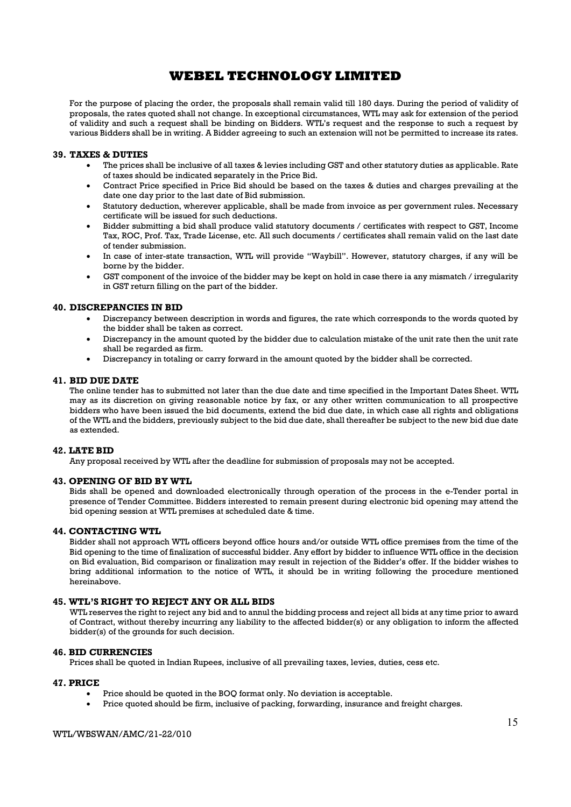For the purpose of placing the order, the proposals shall remain valid till 180 days. During the period of validity of proposals, the rates quoted shall not change. In exceptional circumstances, WTL may ask for extension of the period of validity and such a request shall be binding on Bidders. WTL's request and the response to such a request by various Bidders shall be in writing. A Bidder agreeing to such an extension will not be permitted to increase its rates.

#### 39. TAXES & DUTIES

- The prices shall be inclusive of all taxes & levies including GST and other statutory duties as applicable. Rate of taxes should be indicated separately in the Price Bid.
- Contract Price specified in Price Bid should be based on the taxes & duties and charges prevailing at the date one day prior to the last date of Bid submission.
- Statutory deduction, wherever applicable, shall be made from invoice as per government rules. Necessary certificate will be issued for such deductions.
- Bidder submitting a bid shall produce valid statutory documents / certificates with respect to GST, Income Tax, ROC, Prof. Tax, Trade License, etc. All such documents / certificates shall remain valid on the last date of tender submission.
- In case of inter-state transaction, WTL will provide "Waybill". However, statutory charges, if any will be borne by the bidder.
- GST component of the invoice of the bidder may be kept on hold in case there ia any mismatch / irregularity in GST return filling on the part of the bidder.

#### 40. DISCREPANCIES IN BID

- Discrepancy between description in words and figures, the rate which corresponds to the words quoted by the bidder shall be taken as correct.
- Discrepancy in the amount quoted by the bidder due to calculation mistake of the unit rate then the unit rate shall be regarded as firm.
- Discrepancy in totaling or carry forward in the amount quoted by the bidder shall be corrected.

#### 41. BID DUE DATE

The online tender has to submitted not later than the due date and time specified in the Important Dates Sheet. WTL may as its discretion on giving reasonable notice by fax, or any other written communication to all prospective bidders who have been issued the bid documents, extend the bid due date, in which case all rights and obligations of the WTL and the bidders, previously subject to the bid due date, shall thereafter be subject to the new bid due date as extended.

#### 42. LATE BID

Any proposal received by WTL after the deadline for submission of proposals may not be accepted.

#### 43. OPENING OF BID BY WTL

Bids shall be opened and downloaded electronically through operation of the process in the e-Tender portal in presence of Tender Committee. Bidders interested to remain present during electronic bid opening may attend the bid opening session at WTL premises at scheduled date & time.

#### 44. CONTACTING WTL

Bidder shall not approach WTL officers beyond office hours and/or outside WTL office premises from the time of the Bid opening to the time of finalization of successful bidder. Any effort by bidder to influence WTL office in the decision on Bid evaluation, Bid comparison or finalization may result in rejection of the Bidder's offer. If the bidder wishes to bring additional information to the notice of WTL, it should be in writing following the procedure mentioned hereinabove.

### 45. WTL'S RIGHT TO REJECT ANY OR ALL BIDS

WTL reserves the right to reject any bid and to annul the bidding process and reject all bids at any time prior to award of Contract, without thereby incurring any liability to the affected bidder(s) or any obligation to inform the affected bidder(s) of the grounds for such decision.

#### 46. BID CURRENCIES

Prices shall be quoted in Indian Rupees, inclusive of all prevailing taxes, levies, duties, cess etc.

#### 47. PRICE

- Price should be quoted in the BOQ format only. No deviation is acceptable.
- Price quoted should be firm, inclusive of packing, forwarding, insurance and freight charges.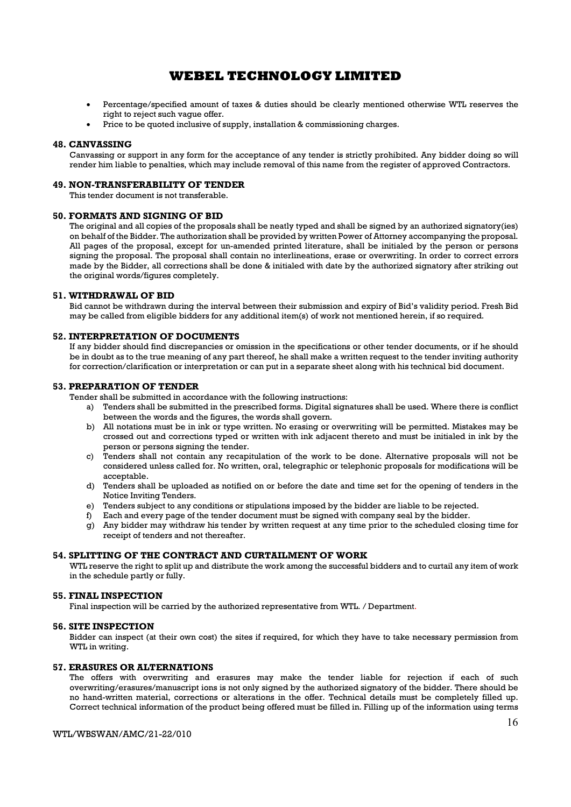- Percentage/specified amount of taxes & duties should be clearly mentioned otherwise WTL reserves the right to reject such vague offer.
- Price to be quoted inclusive of supply, installation & commissioning charges.

#### 48. CANVASSING

Canvassing or support in any form for the acceptance of any tender is strictly prohibited. Any bidder doing so will render him liable to penalties, which may include removal of this name from the register of approved Contractors.

#### 49. NON-TRANSFERABILITY OF TENDER

This tender document is not transferable.

#### 50. FORMATS AND SIGNING OF BID

The original and all copies of the proposals shall be neatly typed and shall be signed by an authorized signatory(ies) on behalf of the Bidder. The authorization shall be provided by written Power of Attorney accompanying the proposal. All pages of the proposal, except for un-amended printed literature, shall be initialed by the person or persons signing the proposal. The proposal shall contain no interlineations, erase or overwriting. In order to correct errors made by the Bidder, all corrections shall be done & initialed with date by the authorized signatory after striking out the original words/figures completely.

#### 51. WITHDRAWAL OF BID

Bid cannot be withdrawn during the interval between their submission and expiry of Bid's validity period. Fresh Bid may be called from eligible bidders for any additional item(s) of work not mentioned herein, if so required.

#### 52. INTERPRETATION OF DOCUMENTS

If any bidder should find discrepancies or omission in the specifications or other tender documents, or if he should be in doubt as to the true meaning of any part thereof, he shall make a written request to the tender inviting authority for correction/clarification or interpretation or can put in a separate sheet along with his technical bid document.

#### 53. PREPARATION OF TENDER

Tender shall be submitted in accordance with the following instructions:

- a) Tenders shall be submitted in the prescribed forms. Digital signatures shall be used. Where there is conflict between the words and the figures, the words shall govern.
- b) All notations must be in ink or type written. No erasing or overwriting will be permitted. Mistakes may be crossed out and corrections typed or written with ink adjacent thereto and must be initialed in ink by the person or persons signing the tender.
- c) Tenders shall not contain any recapitulation of the work to be done. Alternative proposals will not be considered unless called for. No written, oral, telegraphic or telephonic proposals for modifications will be acceptable.
- d) Tenders shall be uploaded as notified on or before the date and time set for the opening of tenders in the Notice Inviting Tenders.
- e) Tenders subject to any conditions or stipulations imposed by the bidder are liable to be rejected.
- f) Each and every page of the tender document must be signed with company seal by the bidder.
- g) Any bidder may withdraw his tender by written request at any time prior to the scheduled closing time for receipt of tenders and not thereafter.

#### 54. SPLITTING OF THE CONTRACT AND CURTAILMENT OF WORK

WTL reserve the right to split up and distribute the work among the successful bidders and to curtail any item of work in the schedule partly or fully.

#### 55. FINAL INSPECTION

Final inspection will be carried by the authorized representative from WTL. / Department.

#### 56. SITE INSPECTION

Bidder can inspect (at their own cost) the sites if required, for which they have to take necessary permission from WTL in writing.

#### 57. ERASURES OR ALTERNATIONS

The offers with overwriting and erasures may make the tender liable for rejection if each of such overwriting/erasures/manuscript ions is not only signed by the authorized signatory of the bidder. There should be no hand-written material, corrections or alterations in the offer. Technical details must be completely filled up. Correct technical information of the product being offered must be filled in. Filling up of the information using terms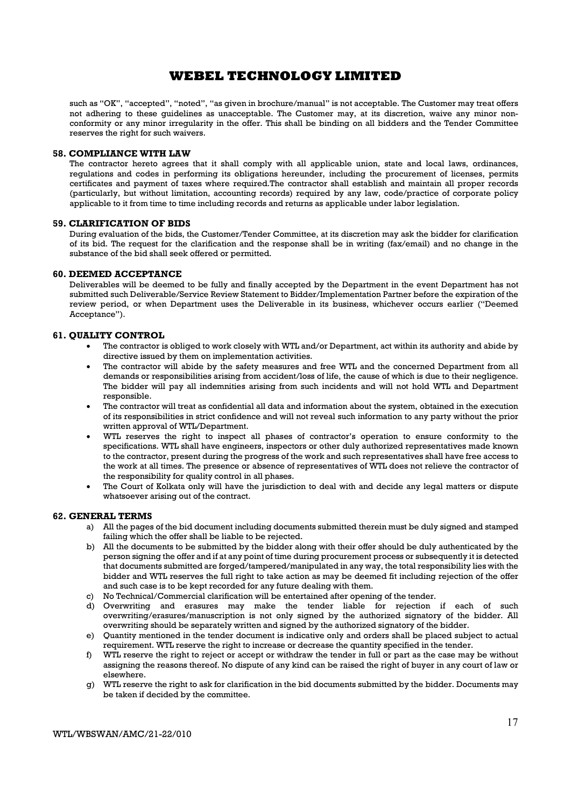such as "OK", "accepted", "noted", "as given in brochure/manual" is not acceptable. The Customer may treat offers not adhering to these guidelines as unacceptable. The Customer may, at its discretion, waive any minor nonconformity or any minor irregularity in the offer. This shall be binding on all bidders and the Tender Committee reserves the right for such waivers.

#### 58. COMPLIANCE WITH LAW

The contractor hereto agrees that it shall comply with all applicable union, state and local laws, ordinances, regulations and codes in performing its obligations hereunder, including the procurement of licenses, permits certificates and payment of taxes where required.The contractor shall establish and maintain all proper records (particularly, but without limitation, accounting records) required by any law, code/practice of corporate policy applicable to it from time to time including records and returns as applicable under labor legislation.

#### 59. CLARIFICATION OF BIDS

During evaluation of the bids, the Customer/Tender Committee, at its discretion may ask the bidder for clarification of its bid. The request for the clarification and the response shall be in writing (fax/email) and no change in the substance of the bid shall seek offered or permitted.

#### 60. DEEMED ACCEPTANCE

Deliverables will be deemed to be fully and finally accepted by the Department in the event Department has not submitted such Deliverable/Service Review Statement to Bidder/Implementation Partner before the expiration of the review period, or when Department uses the Deliverable in its business, whichever occurs earlier ("Deemed Acceptance").

#### 61. QUALITY CONTROL

- The contractor is obliged to work closely with WTL and/or Department, act within its authority and abide by directive issued by them on implementation activities.
- The contractor will abide by the safety measures and free WTL and the concerned Department from all demands or responsibilities arising from accident/loss of life, the cause of which is due to their negligence. The bidder will pay all indemnities arising from such incidents and will not hold WTL and Department responsible.
- The contractor will treat as confidential all data and information about the system, obtained in the execution of its responsibilities in strict confidence and will not reveal such information to any party without the prior written approval of WTL/Department.
- WTL reserves the right to inspect all phases of contractor's operation to ensure conformity to the specifications. WTL shall have engineers, inspectors or other duly authorized representatives made known to the contractor, present during the progress of the work and such representatives shall have free access to the work at all times. The presence or absence of representatives of WTL does not relieve the contractor of the responsibility for quality control in all phases.
- The Court of Kolkata only will have the jurisdiction to deal with and decide any legal matters or dispute whatsoever arising out of the contract.

#### 62. GENERAL TERMS

- a) All the pages of the bid document including documents submitted therein must be duly signed and stamped failing which the offer shall be liable to be rejected.
- b) All the documents to be submitted by the bidder along with their offer should be duly authenticated by the person signing the offer and if at any point of time during procurement process or subsequently it is detected that documents submitted are forged/tampered/manipulated in any way, the total responsibility lies with the bidder and WTL reserves the full right to take action as may be deemed fit including rejection of the offer and such case is to be kept recorded for any future dealing with them.
- c) No Technical/Commercial clarification will be entertained after opening of the tender.
- d) Overwriting and erasures may make the tender liable for rejection if each of such overwriting/erasures/manuscription is not only signed by the authorized signatory of the bidder. All overwriting should be separately written and signed by the authorized signatory of the bidder.
- e) Quantity mentioned in the tender document is indicative only and orders shall be placed subject to actual requirement. WTL reserve the right to increase or decrease the quantity specified in the tender.
- f) WTL reserve the right to reject or accept or withdraw the tender in full or part as the case may be without assigning the reasons thereof. No dispute of any kind can be raised the right of buyer in any court of law or elsewhere.
- g) WTL reserve the right to ask for clarification in the bid documents submitted by the bidder. Documents may be taken if decided by the committee.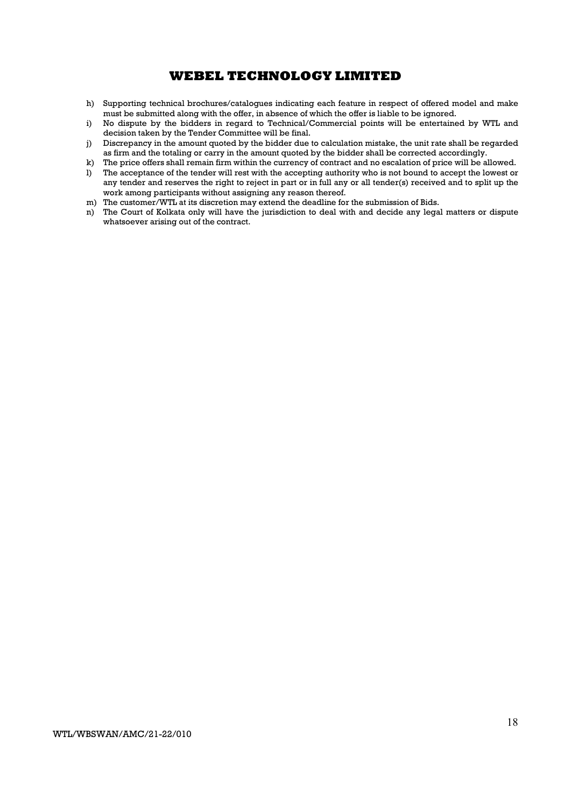- h) Supporting technical brochures/catalogues indicating each feature in respect of offered model and make must be submitted along with the offer, in absence of which the offer is liable to be ignored.
- i) No dispute by the bidders in regard to Technical/Commercial points will be entertained by WTL and decision taken by the Tender Committee will be final.
- j) Discrepancy in the amount quoted by the bidder due to calculation mistake, the unit rate shall be regarded as firm and the totaling or carry in the amount quoted by the bidder shall be corrected accordingly.
- k) The price offers shall remain firm within the currency of contract and no escalation of price will be allowed.
- l) The acceptance of the tender will rest with the accepting authority who is not bound to accept the lowest or any tender and reserves the right to reject in part or in full any or all tender(s) received and to split up the work among participants without assigning any reason thereof.
- m) The customer/WTL at its discretion may extend the deadline for the submission of Bids.
- n) The Court of Kolkata only will have the jurisdiction to deal with and decide any legal matters or dispute whatsoever arising out of the contract.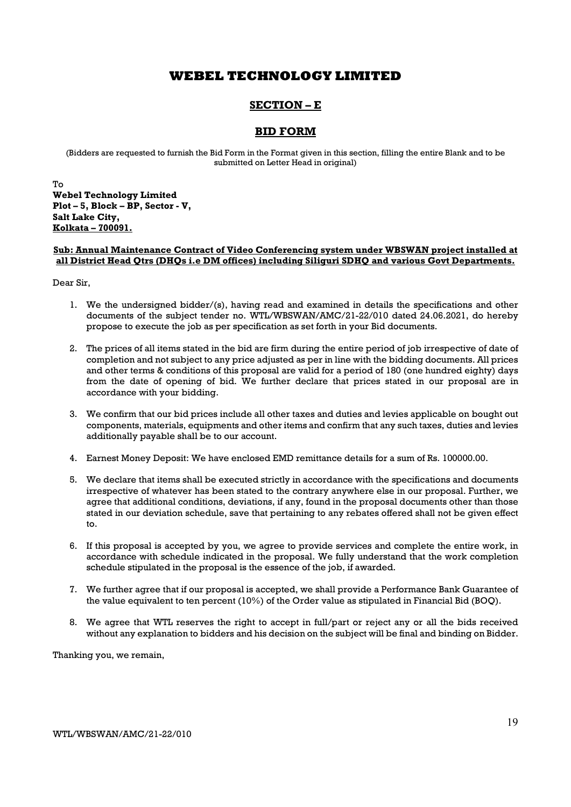## SECTION – E

### BID FORM

(Bidders are requested to furnish the Bid Form in the Format given in this section, filling the entire Blank and to be submitted on Letter Head in original)

To Webel Technology Limited Plot – 5, Block – BP, Sector - V, Salt Lake City, Kolkata – 700091.

#### Sub: Annual Maintenance Contract of Video Conferencing system under WBSWAN project installed at all District Head Qtrs (DHQs i.e DM offices) including Siliguri SDHQ and various Govt Departments.

Dear Sir,

- 1. We the undersigned bidder/(s), having read and examined in details the specifications and other documents of the subject tender no. WTL/WBSWAN/AMC/21-22/010 dated 24.06.2021, do hereby propose to execute the job as per specification as set forth in your Bid documents.
- 2. The prices of all items stated in the bid are firm during the entire period of job irrespective of date of completion and not subject to any price adjusted as per in line with the bidding documents. All prices and other terms & conditions of this proposal are valid for a period of 180 (one hundred eighty) days from the date of opening of bid. We further declare that prices stated in our proposal are in accordance with your bidding.
- 3. We confirm that our bid prices include all other taxes and duties and levies applicable on bought out components, materials, equipments and other items and confirm that any such taxes, duties and levies additionally payable shall be to our account.
- 4. Earnest Money Deposit: We have enclosed EMD remittance details for a sum of Rs. 100000.00.
- 5. We declare that items shall be executed strictly in accordance with the specifications and documents irrespective of whatever has been stated to the contrary anywhere else in our proposal. Further, we agree that additional conditions, deviations, if any, found in the proposal documents other than those stated in our deviation schedule, save that pertaining to any rebates offered shall not be given effect to.
- 6. If this proposal is accepted by you, we agree to provide services and complete the entire work, in accordance with schedule indicated in the proposal. We fully understand that the work completion schedule stipulated in the proposal is the essence of the job, if awarded.
- 7. We further agree that if our proposal is accepted, we shall provide a Performance Bank Guarantee of the value equivalent to ten percent (10%) of the Order value as stipulated in Financial Bid (BOQ).
- 8. We agree that WTL reserves the right to accept in full/part or reject any or all the bids received without any explanation to bidders and his decision on the subject will be final and binding on Bidder.

Thanking you, we remain,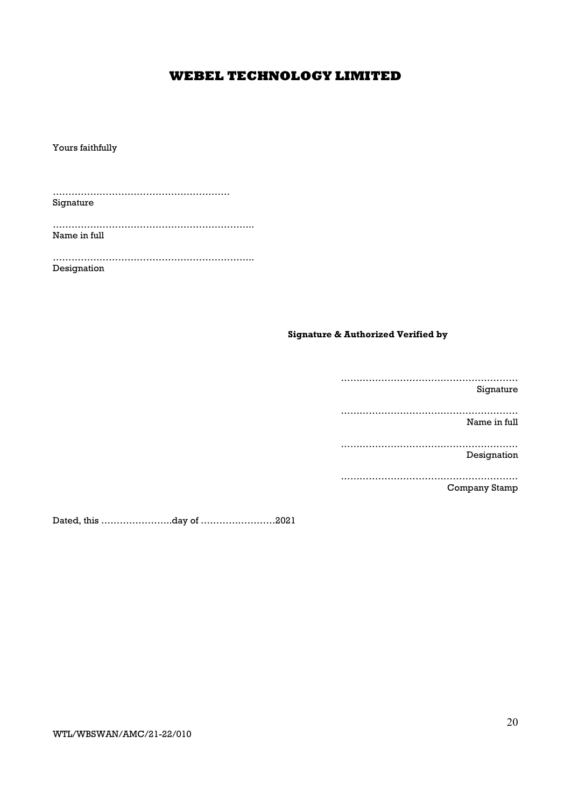Yours faithfully

………………………………………………… Signature

……………………………………………………….. Name in full

……………………………………………………….. Designation

### Signature & Authorized Verified by

………………………………………………… Signature ………………………………………………… Name in full ………………………………………………… Designation ………………………………………………… Company Stamp

Dated, this …………………..day of ……………………2021

WTL/WBSWAN/AMC/21-22/010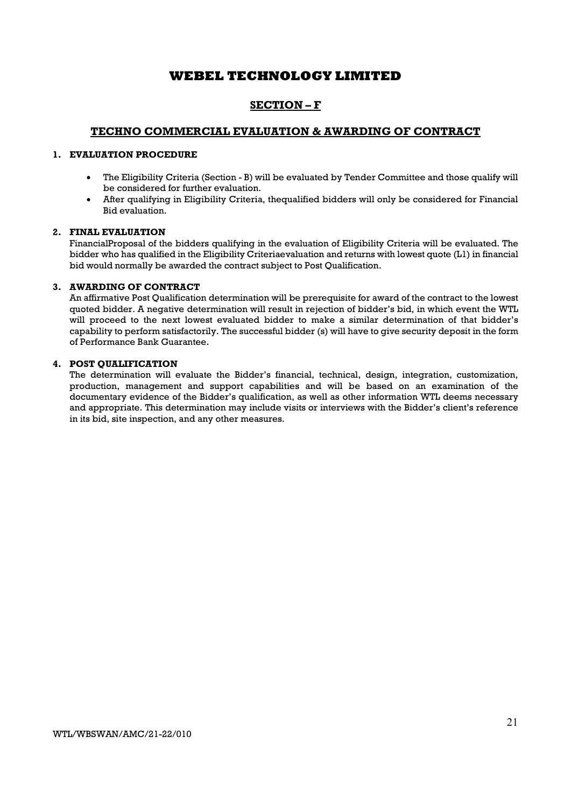## SECTION – F

### TECHNO COMMERCIAL EVALUATION & AWARDING OF CONTRACT

### 1. EVALUATION PROCEDURE

- The Eligibility Criteria (Section B) will be evaluated by Tender Committee and those qualify will be considered for further evaluation.
- After qualifying in Eligibility Criteria, thequalified bidders will only be considered for Financial Bid evaluation.

#### 2. FINAL EVALUATION

FinancialProposal of the bidders qualifying in the evaluation of Eligibility Criteria will be evaluated. The bidder who has qualified in the Eligibility Criteriaevaluation and returns with lowest quote (L1) in financial bid would normally be awarded the contract subject to Post Qualification.

#### 3. AWARDING OF CONTRACT

An affirmative Post Qualification determination will be prerequisite for award of the contract to the lowest quoted bidder. A negative determination will result in rejection of bidder's bid, in which event the WTL will proceed to the next lowest evaluated bidder to make a similar determination of that bidder's capability to perform satisfactorily. The successful bidder (s) will have to give security deposit in the form of Performance Bank Guarantee.

### 4. POST QUALIFICATION

The determination will evaluate the Bidder's financial, technical, design, integration, customization, production, management and support capabilities and will be based on an examination of the documentary evidence of the Bidder's qualification, as well as other information WTL deems necessary and appropriate. This determination may include visits or interviews with the Bidder's client's reference in its bid, site inspection, and any other measures.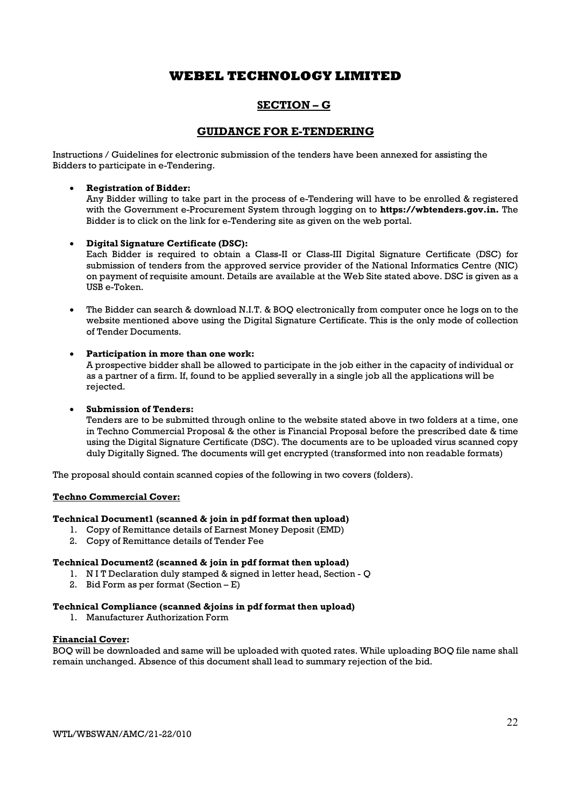## SECTION – G

### GUIDANCE FOR E-TENDERING

Instructions / Guidelines for electronic submission of the tenders have been annexed for assisting the Bidders to participate in e-Tendering.

### Registration of Bidder:

Any Bidder willing to take part in the process of e-Tendering will have to be enrolled & registered with the Government e-Procurement System through logging on to **https://wbtenders.gov.in.** The Bidder is to click on the link for e-Tendering site as given on the web portal.

#### Digital Signature Certificate (DSC):

Each Bidder is required to obtain a Class-II or Class-III Digital Signature Certificate (DSC) for submission of tenders from the approved service provider of the National Informatics Centre (NIC) on payment of requisite amount. Details are available at the Web Site stated above. DSC is given as a USB e-Token.

 The Bidder can search & download N.I.T. & BOQ electronically from computer once he logs on to the website mentioned above using the Digital Signature Certificate. This is the only mode of collection of Tender Documents.

### Participation in more than one work:

A prospective bidder shall be allowed to participate in the job either in the capacity of individual or as a partner of a firm. If, found to be applied severally in a single job all the applications will be rejected.

### Submission of Tenders:

Tenders are to be submitted through online to the website stated above in two folders at a time, one in Techno Commercial Proposal & the other is Financial Proposal before the prescribed date & time using the Digital Signature Certificate (DSC). The documents are to be uploaded virus scanned copy duly Digitally Signed. The documents will get encrypted (transformed into non readable formats)

The proposal should contain scanned copies of the following in two covers (folders).

#### Techno Commercial Cover:

#### Technical Document1 (scanned & join in pdf format then upload)

- 1. Copy of Remittance details of Earnest Money Deposit (EMD)
- 2. Copy of Remittance details of Tender Fee

### Technical Document2 (scanned & join in pdf format then upload)

- 1. N I T Declaration duly stamped & signed in letter head, Section Q
- 2. Bid Form as per format  $(Section E)$

### Technical Compliance (scanned &joins in pdf format then upload)

1. Manufacturer Authorization Form

#### Financial Cover:

BOQ will be downloaded and same will be uploaded with quoted rates. While uploading BOQ file name shall remain unchanged. Absence of this document shall lead to summary rejection of the bid.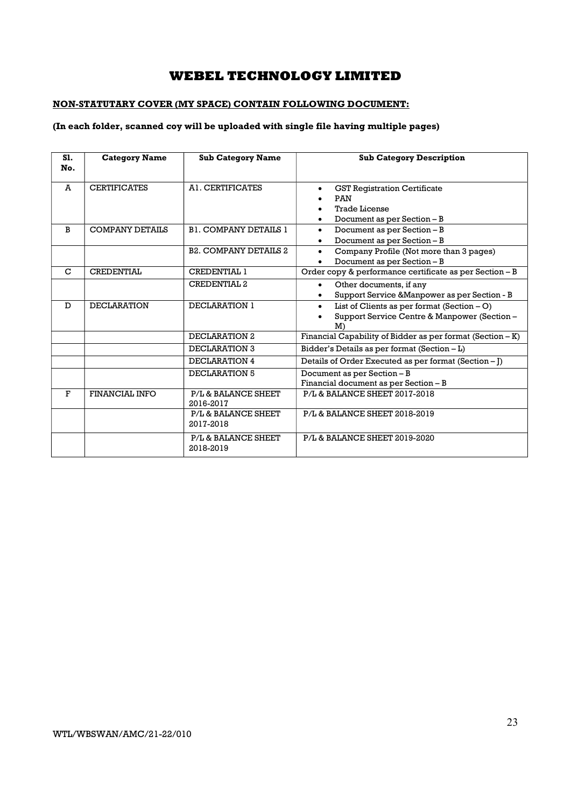### NON-STATUTARY COVER (MY SPACE) CONTAIN FOLLOWING DOCUMENT:

### (In each folder, scanned coy will be uploaded with single file having multiple pages)

| S1.<br>No. | <b>Category Name</b>   | <b>Sub Category Name</b>         | <b>Sub Category Description</b>                                                                                             |  |
|------------|------------------------|----------------------------------|-----------------------------------------------------------------------------------------------------------------------------|--|
| A          | <b>CERTIFICATES</b>    | A1. CERTIFICATES                 | <b>GST Registration Certificate</b><br>$\bullet$<br>PAN<br><b>Trade License</b><br>Document as per Section - B<br>$\bullet$ |  |
| B          | <b>COMPANY DETAILS</b> | <b>B1. COMPANY DETAILS 1</b>     | Document as per Section - B<br>$\bullet$<br>Document as per Section - B                                                     |  |
|            |                        | <b>B2. COMPANY DETAILS 2</b>     | Company Profile (Not more than 3 pages)<br>$\bullet$<br>Document as per Section - B                                         |  |
| C          | <b>CREDENTIAL</b>      | <b>CREDENTIAL 1</b>              | Order copy & performance certificate as per Section - B                                                                     |  |
|            |                        | <b>CREDENTIAL 2</b>              | Other documents, if any<br>$\bullet$<br>Support Service & Manpower as per Section - B                                       |  |
| D          | <b>DECLARATION</b>     | DECLARATION 1                    | List of Clients as per format $(Section - O)$<br>$\bullet$<br>Support Service Centre & Manpower (Section -<br>M             |  |
|            |                        | DECLARATION 2                    | Financial Capability of Bidder as per format (Section - K)                                                                  |  |
|            |                        | DECLARATION 3                    | Bidder's Details as per format (Section - L)                                                                                |  |
|            |                        | <b>DECLARATION 4</b>             | Details of Order Executed as per format (Section - J)                                                                       |  |
|            |                        | DECLARATION 5                    | Document as per Section - B<br>Financial document as per Section - B                                                        |  |
| F          | <b>FINANCIAL INFO</b>  | P/L & BALANCE SHEET<br>2016-2017 | P/L & BALANCE SHEET 2017-2018                                                                                               |  |
|            |                        | P/L & BALANCE SHEET<br>2017-2018 | P/L & BALANCE SHEET 2018-2019                                                                                               |  |
|            |                        | P/L & BALANCE SHEET<br>2018-2019 | P/L & BALANCE SHEET 2019-2020                                                                                               |  |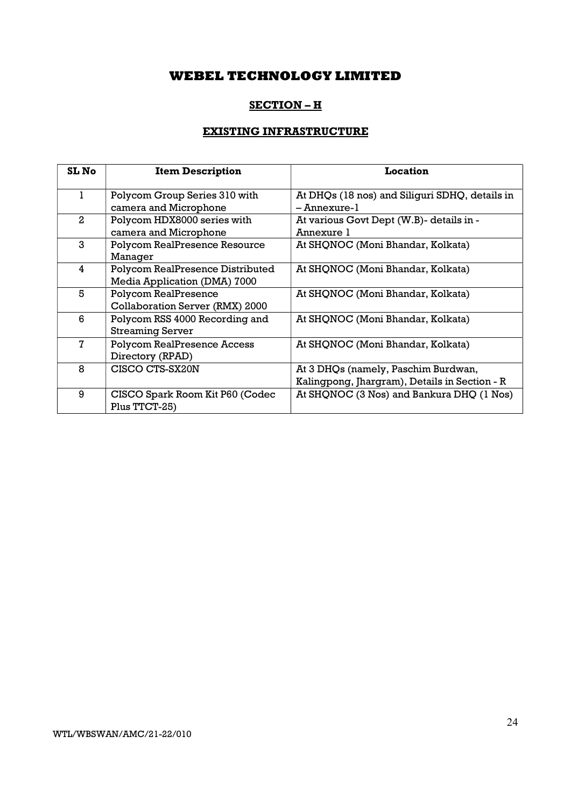## SECTION – H

## EXISTING INFRASTRUCTURE

| <b>SL No</b>  | <b>Item Description</b>                                          | Location                                                                             |
|---------------|------------------------------------------------------------------|--------------------------------------------------------------------------------------|
| 1             | Polycom Group Series 310 with<br>camera and Microphone           | At DHQs (18 nos) and Siliguri SDHQ, details in<br>- Annexure-1                       |
| $\mathcal{L}$ | Polycom HDX8000 series with<br>camera and Microphone             | At various Govt Dept (W.B)- details in -<br>Annexure 1                               |
| 3             | Polycom RealPresence Resource<br>Manager                         | At SHQNOC (Moni Bhandar, Kolkata)                                                    |
| 4             | Polycom RealPresence Distributed<br>Media Application (DMA) 7000 | At SHQNOC (Moni Bhandar, Kolkata)                                                    |
| 5             | Polycom RealPresence<br>Collaboration Server (RMX) 2000          | At SHQNOC (Moni Bhandar, Kolkata)                                                    |
| 6             | Polycom RSS 4000 Recording and<br><b>Streaming Server</b>        | At SHQNOC (Moni Bhandar, Kolkata)                                                    |
| 7             | <b>Polycom RealPresence Access</b><br>Directory (RPAD)           | At SHQNOC (Moni Bhandar, Kolkata)                                                    |
| 8             | CISCO CTS-SX20N                                                  | At 3 DHQs (namely, Paschim Burdwan,<br>Kalingpong, Jhargram), Details in Section - R |
| 9             | CISCO Spark Room Kit P60 (Codec<br>Plus TTCT-25)                 | At SHQNOC (3 Nos) and Bankura DHQ (1 Nos)                                            |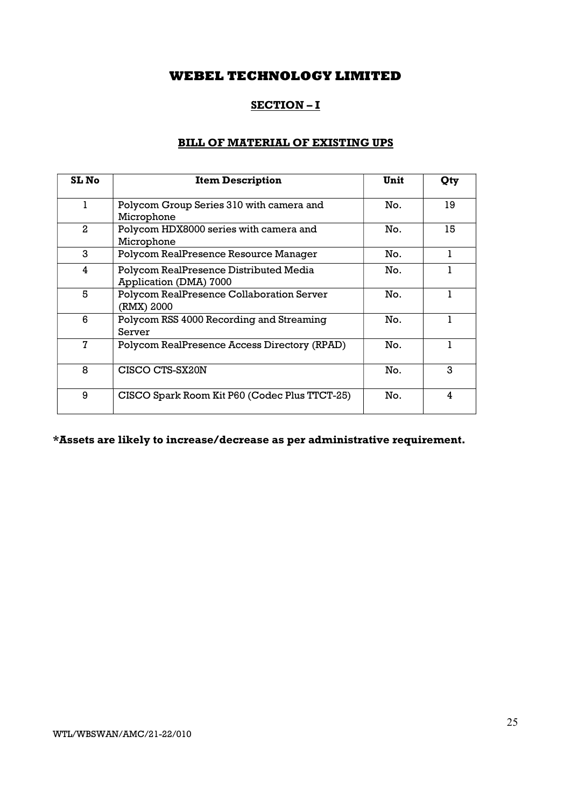## SECTION – I

## BILL OF MATERIAL OF EXISTING UPS

| <b>SL No</b> | <b>Item Description</b>                                          | Unit | Qty |
|--------------|------------------------------------------------------------------|------|-----|
| 1            | Polycom Group Series 310 with camera and<br>Microphone           | No.  | 19  |
| 2            | Polycom HDX8000 series with camera and<br>Microphone             | No.  | 15  |
| 3            | Polycom RealPresence Resource Manager                            | No.  |     |
| 4            | Polycom RealPresence Distributed Media<br>Application (DMA) 7000 | No.  |     |
| 5            | Polycom RealPresence Collaboration Server<br>(RMX) 2000          | No.  |     |
| 6            | Polycom RSS 4000 Recording and Streaming<br>Server               | No.  |     |
| 7            | Polycom RealPresence Access Directory (RPAD)                     | No.  |     |
| 8            | CISCO CTS-SX20N                                                  | No.  | 3   |
| 9            | CISCO Spark Room Kit P60 (Codec Plus TTCT-25)                    | No.  | 4   |

\*Assets are likely to increase/decrease as per administrative requirement.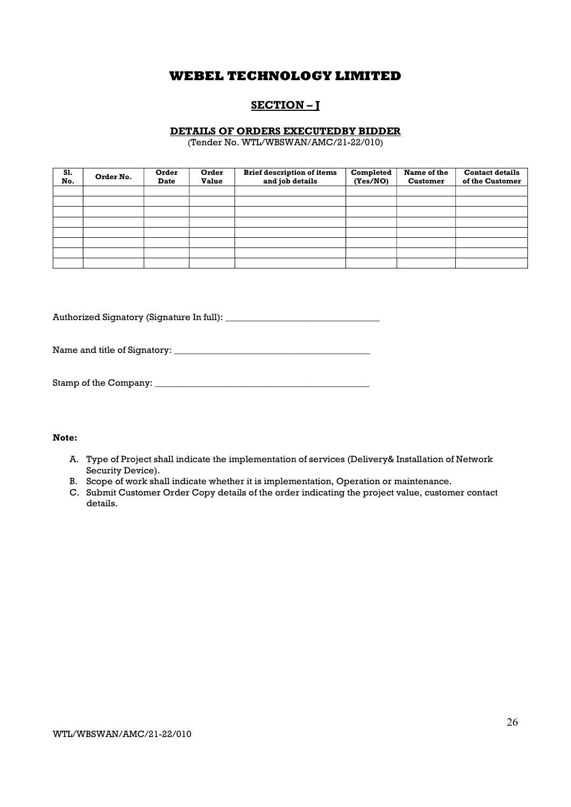## SECTION – J

### DETAILS OF ORDERS EXECUTEDBY BIDDER

(Tender No. WTL/WBSWAN/AMC/21-22/010)

| S1.<br>No. | Order No. | Order<br><b>Date</b> | Order<br><b>Value</b> | <b>Brief description of items</b><br>and job details | Completed<br>(Yes/NO) | Name of the<br><b>Customer</b> | <b>Contact details</b><br>of the Customer |
|------------|-----------|----------------------|-----------------------|------------------------------------------------------|-----------------------|--------------------------------|-------------------------------------------|
|            |           |                      |                       |                                                      |                       |                                |                                           |
|            |           |                      |                       |                                                      |                       |                                |                                           |
|            |           |                      |                       |                                                      |                       |                                |                                           |
|            |           |                      |                       |                                                      |                       |                                |                                           |
|            |           |                      |                       |                                                      |                       |                                |                                           |
|            |           |                      |                       |                                                      |                       |                                |                                           |
|            |           |                      |                       |                                                      |                       |                                |                                           |
|            |           |                      |                       |                                                      |                       |                                |                                           |

Authorized Signatory (Signature In full): \_\_\_\_\_\_\_\_\_\_\_\_\_\_\_\_\_\_\_\_\_\_\_\_\_\_\_\_\_\_\_\_\_

Name and title of Signatory: \_\_\_\_\_\_\_\_\_\_\_\_\_\_\_\_\_\_\_\_\_\_\_\_\_\_\_\_\_\_\_\_\_\_\_\_\_\_\_\_\_\_

| Stamp of the Company: |  |
|-----------------------|--|
|-----------------------|--|

### Note:

- A. Type of Project shall indicate the implementation of services (Delivery& Installation of Network Security Device).
- B. Scope of work shall indicate whether it is implementation, Operation or maintenance.
- C. Submit Customer Order Copy details of the order indicating the project value, customer contact details.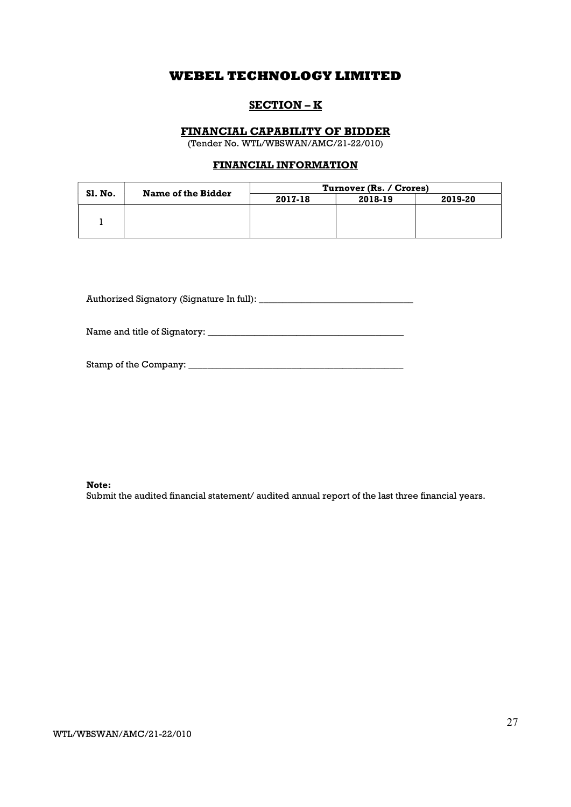### SECTION – K

### FINANCIAL CAPABILITY OF BIDDER

(Tender No. WTL/WBSWAN/AMC/21-22/010)

### FINANCIAL INFORMATION

|                | Name of the Bidder | Turnover (Rs. / Crores) |         |         |  |
|----------------|--------------------|-------------------------|---------|---------|--|
| <b>SI. No.</b> |                    | 2017-18                 | 2018-19 | 2019-20 |  |
|                |                    |                         |         |         |  |
|                |                    |                         |         |         |  |
|                |                    |                         |         |         |  |

Authorized Signatory (Signature In full): \_\_\_\_\_\_\_\_\_\_\_\_\_\_\_\_\_\_\_\_\_\_\_\_\_\_\_\_\_\_\_\_\_

Name and title of Signatory: \_\_\_\_\_\_\_\_\_\_\_\_\_\_\_\_\_\_\_\_\_\_\_\_\_\_\_\_\_\_\_\_\_\_\_\_\_\_\_\_\_\_

| Stamp of the Company: |  |
|-----------------------|--|
|                       |  |

Note:

Submit the audited financial statement/ audited annual report of the last three financial years.

WTL/WBSWAN/AMC/21-22/010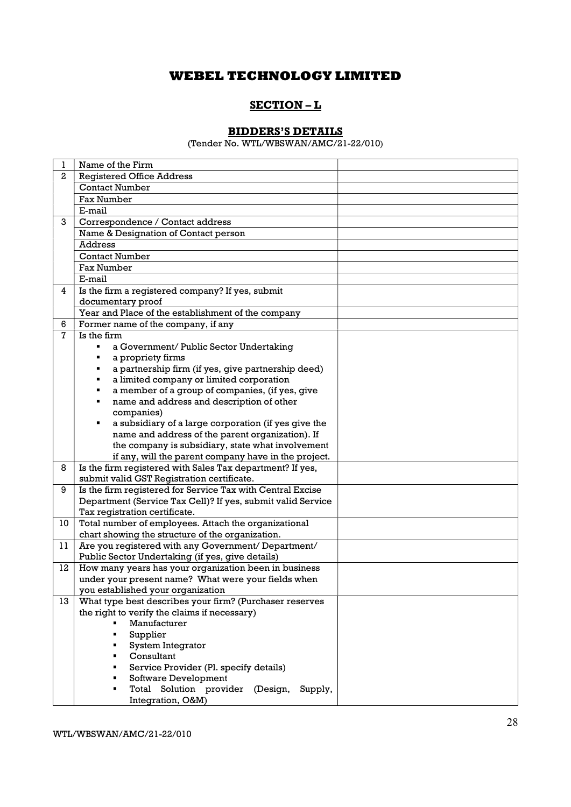## SECTION – L

### BIDDERS'S DETAILS

(Tender No. WTL/WBSWAN/AMC/21-22/010)

| 1              | Name of the Firm                                            |
|----------------|-------------------------------------------------------------|
| $\overline{2}$ | <b>Registered Office Address</b>                            |
|                | <b>Contact Number</b>                                       |
|                | Fax Number                                                  |
|                | E-mail                                                      |
| 3              | Correspondence / Contact address                            |
|                | Name & Designation of Contact person                        |
|                | <b>Address</b>                                              |
|                | <b>Contact Number</b>                                       |
|                | <b>Fax Number</b>                                           |
|                | E-mail                                                      |
| 4              | Is the firm a registered company? If yes, submit            |
|                | documentary proof                                           |
|                | Year and Place of the establishment of the company          |
| 6              | Former name of the company, if any                          |
| $\overline{7}$ | Is the firm                                                 |
|                | a Government/ Public Sector Undertaking                     |
|                | a propriety firms                                           |
|                | a partnership firm (if yes, give partnership deed)          |
|                | a limited company or limited corporation                    |
|                | a member of a group of companies, (if yes, give             |
|                | name and address and description of other                   |
|                | companies)                                                  |
|                | a subsidiary of a large corporation (if yes give the        |
|                | name and address of the parent organization). If            |
|                | the company is subsidiary, state what involvement           |
|                | if any, will the parent company have in the project.        |
| 8              | Is the firm registered with Sales Tax department? If yes,   |
|                | submit valid GST Registration certificate.                  |
| 9              | Is the firm registered for Service Tax with Central Excise  |
|                | Department (Service Tax Cell)? If yes, submit valid Service |
|                | Tax registration certificate.                               |
| 10             | Total number of employees. Attach the organizational        |
|                | chart showing the structure of the organization.            |
| 11             | Are you registered with any Government/ Department/         |
|                | Public Sector Undertaking (if yes, give details)            |
| 12             | How many years has your organization been in business       |
|                | under your present name? What were your fields when         |
|                | you established your organization                           |
| 13             | What type best describes your firm? (Purchaser reserves     |
|                | the right to verify the claims if necessary)                |
|                | Manufacturer                                                |
|                | Supplier                                                    |
|                | System Integrator                                           |
|                | Consultant                                                  |
|                | Service Provider (Pl. specify details)                      |
|                | Software Development                                        |
|                | Total Solution provider (Design,<br>Supply,                 |
|                | Integration, O&M)                                           |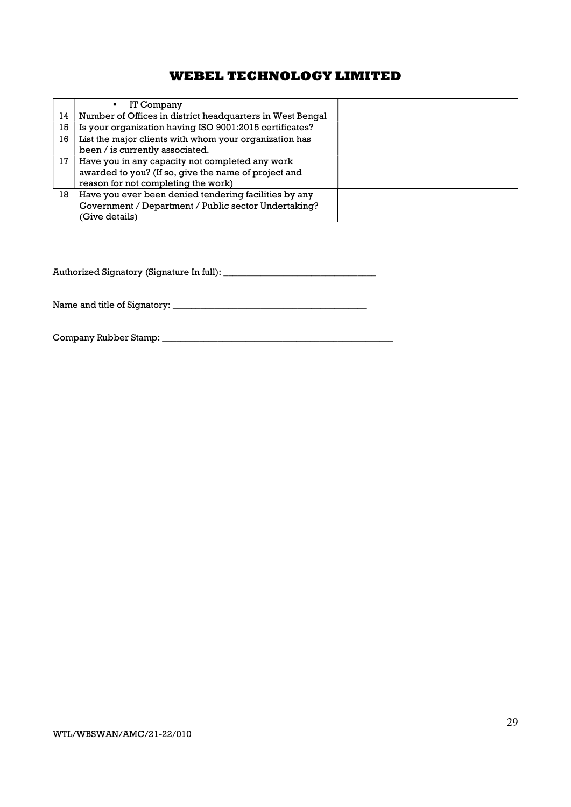|    | IT Company                                                |  |
|----|-----------------------------------------------------------|--|
| 14 | Number of Offices in district headquarters in West Bengal |  |
| 15 | Is your organization having ISO 9001:2015 certificates?   |  |
| 16 | List the major clients with whom your organization has    |  |
|    | been / is currently associated.                           |  |
| 17 | Have you in any capacity not completed any work           |  |
|    | awarded to you? (If so, give the name of project and      |  |
|    | reason for not completing the work)                       |  |
| 18 | Have you ever been denied tendering facilities by any     |  |
|    | Government / Department / Public sector Undertaking?      |  |
|    | (Give details)                                            |  |

Authorized Signatory (Signature In full): \_\_\_\_\_\_\_\_\_\_\_\_\_\_\_\_\_\_\_\_\_\_\_\_\_\_\_\_\_\_\_\_\_

Name and title of Signatory: \_\_\_\_\_\_\_\_\_\_\_\_\_\_\_\_\_\_\_\_\_\_\_\_\_\_\_\_\_\_\_\_\_\_\_\_\_\_\_\_\_\_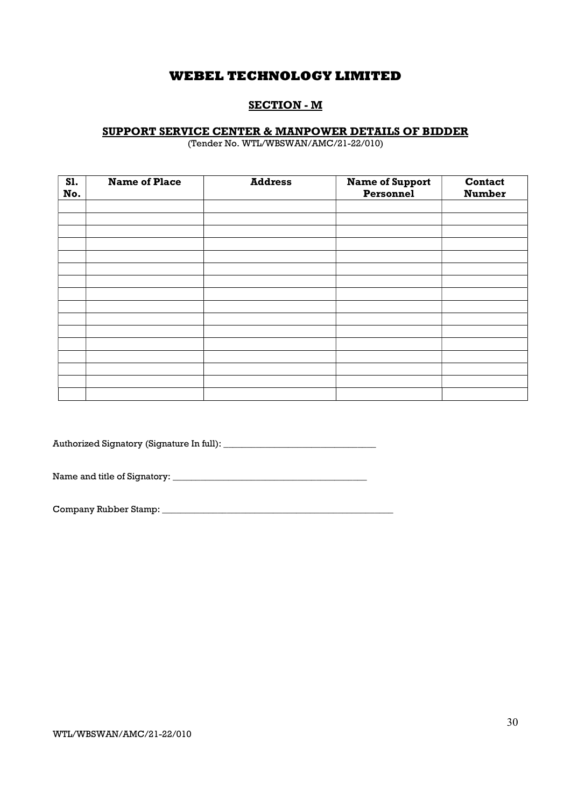## SECTION - M

### SUPPORT SERVICE CENTER & MANPOWER DETAILS OF BIDDER

(Tender No. WTL/WBSWAN/AMC/21-22/010)

| S1.<br>No. | <b>Name of Place</b> | <b>Address</b> | <b>Name of Support</b><br>Personnel | Contact<br><b>Number</b> |
|------------|----------------------|----------------|-------------------------------------|--------------------------|
|            |                      |                |                                     |                          |
|            |                      |                |                                     |                          |
|            |                      |                |                                     |                          |
|            |                      |                |                                     |                          |
|            |                      |                |                                     |                          |
|            |                      |                |                                     |                          |
|            |                      |                |                                     |                          |
|            |                      |                |                                     |                          |
|            |                      |                |                                     |                          |
|            |                      |                |                                     |                          |
|            |                      |                |                                     |                          |
|            |                      |                |                                     |                          |
|            |                      |                |                                     |                          |
|            |                      |                |                                     |                          |
|            |                      |                |                                     |                          |
|            |                      |                |                                     |                          |

Authorized Signatory (Signature In full): \_\_\_\_\_\_\_\_\_\_\_\_\_\_\_\_\_\_\_\_\_\_\_\_\_\_\_\_\_\_\_\_\_

Name and title of Signatory: \_\_\_\_\_\_\_\_\_\_\_\_\_\_\_\_\_\_\_\_\_\_\_\_\_\_\_\_\_\_\_\_\_\_\_\_\_\_\_\_\_\_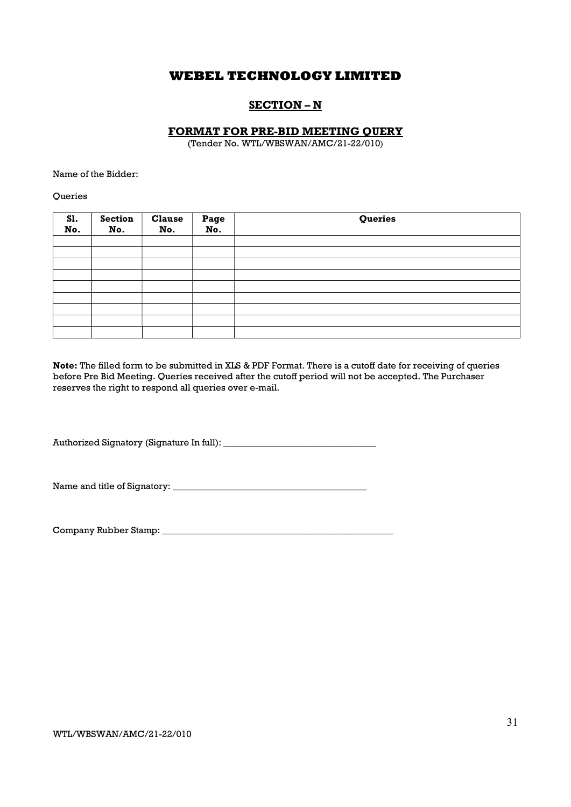### SECTION – N

### FORMAT FOR PRE-BID MEETING QUERY

(Tender No. WTL/WBSWAN/AMC/21-22/010)

Name of the Bidder:

**Oueries** 

| <b>S1.</b><br>No. | <b>Section</b><br>No. | <b>Clause</b><br>No. | Page<br>No. | Queries |
|-------------------|-----------------------|----------------------|-------------|---------|
|                   |                       |                      |             |         |
|                   |                       |                      |             |         |
|                   |                       |                      |             |         |
|                   |                       |                      |             |         |
|                   |                       |                      |             |         |
|                   |                       |                      |             |         |
|                   |                       |                      |             |         |
|                   |                       |                      |             |         |
|                   |                       |                      |             |         |

Note: The filled form to be submitted in XLS & PDF Format. There is a cutoff date for receiving of queries before Pre Bid Meeting. Queries received after the cutoff period will not be accepted. The Purchaser reserves the right to respond all queries over e-mail.

Authorized Signatory (Signature In full): \_\_\_\_\_\_\_\_\_\_\_\_\_\_\_\_\_\_\_\_\_\_\_\_\_\_\_\_\_\_\_\_\_

Name and title of Signatory: \_\_\_\_\_\_\_\_\_\_\_\_\_\_\_\_\_\_\_\_\_\_\_\_\_\_\_\_\_\_\_\_\_\_\_\_\_\_\_\_\_\_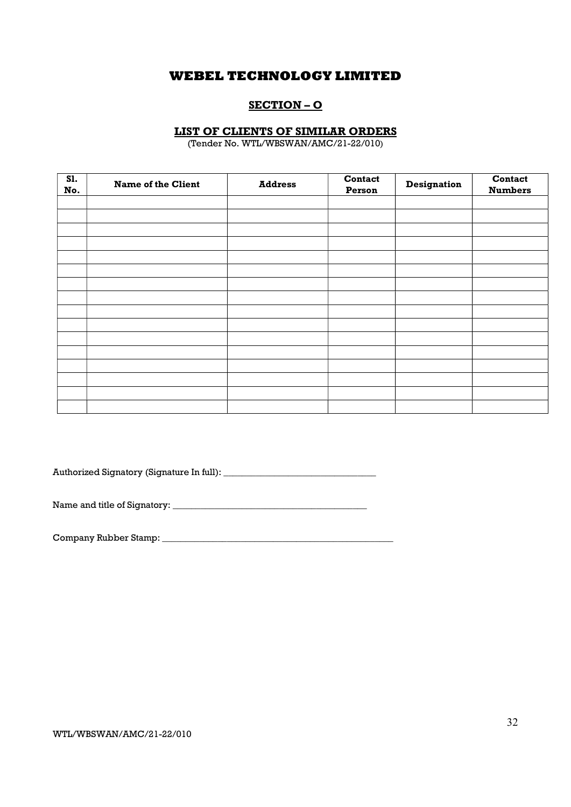### SECTION – O

### LIST OF CLIENTS OF SIMILAR ORDERS

(Tender No. WTL/WBSWAN/AMC/21-22/010)

| <b>S1.</b><br>No. | <b>Name of the Client</b> | <b>Address</b> | Contact<br>Person | <b>Designation</b> | Contact<br><b>Numbers</b> |
|-------------------|---------------------------|----------------|-------------------|--------------------|---------------------------|
|                   |                           |                |                   |                    |                           |
|                   |                           |                |                   |                    |                           |
|                   |                           |                |                   |                    |                           |
|                   |                           |                |                   |                    |                           |
|                   |                           |                |                   |                    |                           |
|                   |                           |                |                   |                    |                           |
|                   |                           |                |                   |                    |                           |
|                   |                           |                |                   |                    |                           |
|                   |                           |                |                   |                    |                           |
|                   |                           |                |                   |                    |                           |
|                   |                           |                |                   |                    |                           |
|                   |                           |                |                   |                    |                           |
|                   |                           |                |                   |                    |                           |
|                   |                           |                |                   |                    |                           |
|                   |                           |                |                   |                    |                           |
|                   |                           |                |                   |                    |                           |

Authorized Signatory (Signature In full): \_\_\_\_\_\_\_\_\_\_\_\_\_\_\_\_\_\_\_\_\_\_\_\_\_\_\_\_\_\_\_\_\_

Name and title of Signatory: \_\_\_\_\_\_\_\_\_\_\_\_\_\_\_\_\_\_\_\_\_\_\_\_\_\_\_\_\_\_\_\_\_\_\_\_\_\_\_\_\_\_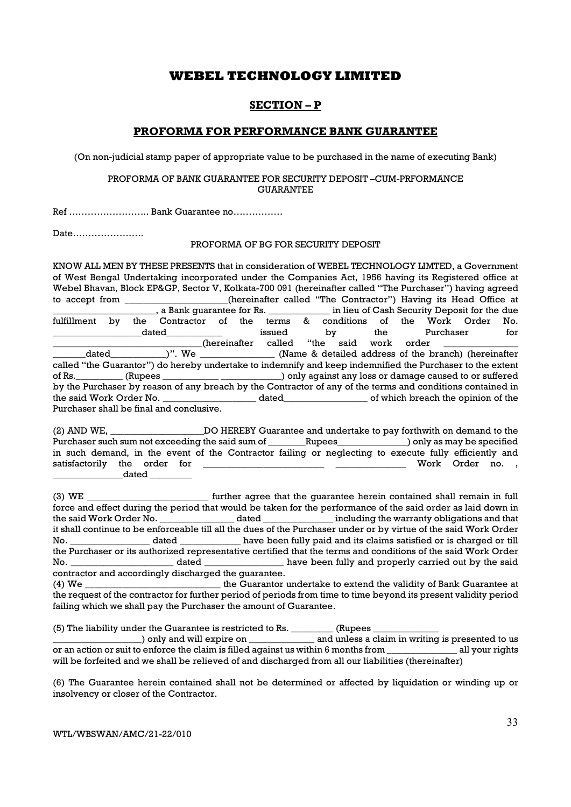### SECTION – P

### PROFORMA FOR PERFORMANCE BANK GUARANTEE

(On non-judicial stamp paper of appropriate value to be purchased in the name of executing Bank)

#### PROFORMA OF BANK GUARANTEE FOR SECURITY DEPOSIT –CUM-PRFORMANCE GUARANTEE

Ref …………………….. Bank Guarantee no…………….

Date…………………..

#### PROFORMA OF BG FOR SECURITY DEPOSIT

KNOW ALL MEN BY THESE PRESENTS that in consideration of WEBEL TECHNOLOGY LIMTED, a Government of West Bengal Undertaking incorporated under the Companies Act, 1956 having its Registered office at Webel Bhavan, Block EP&GP, Sector V, Kolkata-700 091 (hereinafter called "The Purchaser") having agreed to accept from \_\_\_\_\_\_\_\_\_\_\_\_\_\_\_(hereinafter called "The Contractor") Having its Head Office at \_\_\_\_\_\_\_\_\_\_\_\_\_, a Bank guarantee for Rs. \_\_\_\_\_\_\_\_\_\_\_\_\_ in lieu of Cash Security Deposit for the due \_\_\_\_\_\_\_\_\_\_\_\_\_\_\_\_\_\_\_\_\_\_, a Bank guarantee for Rs. \_\_\_\_\_\_\_\_\_\_\_\_\_ in lieu of Cash Security Deposit for the due fulfillment by the Contractor of the terms & conditions of the Work Order No. \_\_\_\_\_\_\_\_\_\_\_\_\_\_\_\_\_\_\_dated\_\_\_\_\_\_\_\_\_\_\_\_ issued by the Purchaser for (hereinafter called "the said work order<br>dated )". We (Name & detailed address of the b \_\_\_\_\_\_\_dated\_\_\_\_\_\_\_\_\_\_\_\_)". We \_\_\_\_\_\_\_\_\_\_\_\_\_\_\_\_ (Name & detailed address of the branch) (hereinafter called "the Guarantor") do hereby undertake to indemnify and keep indemnified the Purchaser to the extent of Rs.\_\_\_\_\_\_\_\_\_\_ (Rupees \_\_\_\_\_\_\_\_\_\_\_\_ \_\_\_\_\_\_\_\_\_\_\_\_\_) only against any loss or damage caused to or suffered by the Purchaser by reason of any breach by the Contractor of any of the terms and conditions contained in the said Work Order No. \_\_\_\_\_\_\_\_\_\_\_\_\_\_\_\_\_\_\_\_ dated\_\_\_\_\_\_\_\_\_\_\_\_\_\_\_\_\_\_ of which breach the opinion of the Purchaser shall be final and conclusive.

(2) AND WE, \_\_\_\_\_\_\_\_\_\_\_\_\_\_\_\_\_\_\_\_DO HEREBY Guarantee and undertake to pay forthwith on demand to the Purchaser such sum not exceeding the said sum of \_\_\_\_\_\_\_Rupees\_\_\_\_\_\_\_\_\_\_\_\_\_) only as may be specified in such demand, in the event of the Contractor failing or neglecting to execute fully efficiently and satisfactorily the order for \_\_\_\_\_\_\_\_\_\_\_\_\_\_\_\_\_\_\_\_\_\_\_\_\_\_ \_\_\_\_\_\_\_\_\_\_\_\_\_\_\_ Work Order no. , \_\_\_\_\_\_\_\_\_\_\_\_\_\_\_dated \_\_\_\_\_\_\_\_\_

(3) WE \_\_\_\_\_\_\_\_\_\_\_\_\_\_\_\_\_\_\_\_\_\_\_\_\_\_ further agree that the guarantee herein contained shall remain in full force and effect during the period that would be taken for the performance of the said order as laid down in the said Work Order No. \_\_\_\_\_\_\_\_\_\_\_\_\_\_\_\_ dated \_\_\_\_\_\_\_\_\_\_\_\_\_\_\_ including the warranty obligations and that it shall continue to be enforceable till all the dues of the Purchaser under or by virtue of the said Work Order No. \_\_\_\_\_\_\_\_\_\_\_\_\_\_\_\_\_ dated \_\_\_\_\_\_\_\_\_\_\_\_\_ have been fully paid and its claims satisfied or is charged or till the Purchaser or its authorized representative certified that the terms and conditions of the said Work Order No. \_\_\_\_\_\_\_\_\_\_\_\_\_\_\_\_\_\_\_\_\_\_ dated \_\_\_\_\_\_\_\_\_\_\_\_\_\_\_\_\_ have been fully and properly carried out by the said contractor and accordingly discharged the guarantee.

(4) We \_\_\_\_\_\_\_\_\_\_\_\_\_\_\_\_\_\_\_\_\_\_\_\_\_\_\_\_\_ the Guarantor undertake to extend the validity of Bank Guarantee at the request of the contractor for further period of periods from time to time beyond its present validity period failing which we shall pay the Purchaser the amount of Guarantee.

 $(5)$  The liability under the Guarantee is restricted to Rs.  $\qquad \qquad$  (Rupees  $\qquad \qquad$ 

\_\_\_\_\_\_\_\_\_\_\_\_\_\_\_\_\_\_\_) only and will expire on \_\_\_\_\_\_\_\_\_\_\_\_\_\_ and unless a claim in writing is presented to us or an action or suit to enforce the claim is filled against us within 6 months from \_\_\_\_\_\_\_\_\_\_\_\_\_\_\_ all your rights will be forfeited and we shall be relieved of and discharged from all our liabilities (thereinafter)

(6) The Guarantee herein contained shall not be determined or affected by liquidation or winding up or insolvency or closer of the Contractor.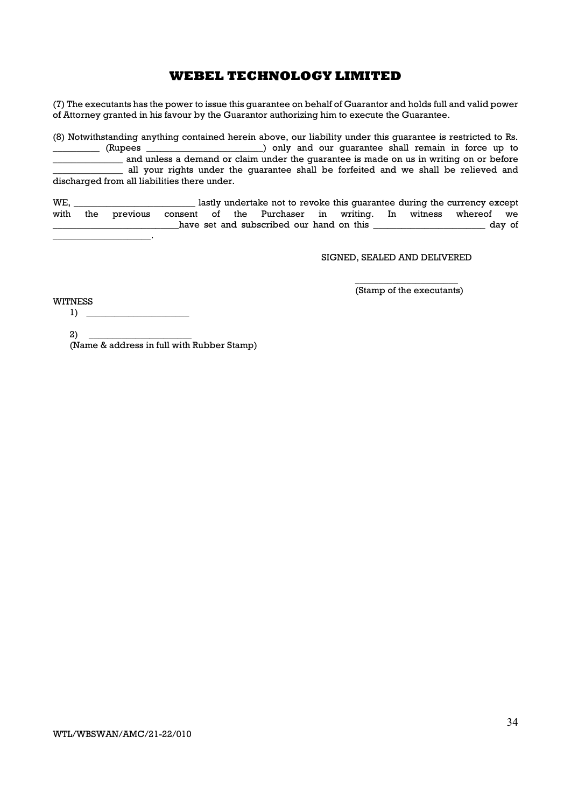(7) The executants has the power to issue this guarantee on behalf of Guarantor and holds full and valid power of Attorney granted in his favour by the Guarantor authorizing him to execute the Guarantee.

(8) Notwithstanding anything contained herein above, our liability under this guarantee is restricted to Rs. ) only and our quarantee shall remain in force up to and unless a demand or claim under the guarantee is made on us in writing on or before all your rights under the guarantee shall be forfeited and we shall be relieved and discharged from all liabilities there under.

WE, \_\_\_\_\_\_\_\_\_\_\_\_\_\_\_\_\_\_\_\_\_\_\_\_\_\_ lastly undertake not to revoke this guarantee during the currency except with the previous consent of the Purchaser in writing. In witness whereof we all the set and subscribed our hand on this **wave set and subscribed our hand on this**  $\frac{d}{dx}$  $\mathbb{Z}^2$ 

SIGNED, SEALED AND DELIVERED

 $\overline{\phantom{a}}$  , we can consider the constant of  $\overline{\phantom{a}}$ (Stamp of the executants)

WITNESS  $1) \tightharpoonup$ 

> $2)$  \_ (Name & address in full with Rubber Stamp)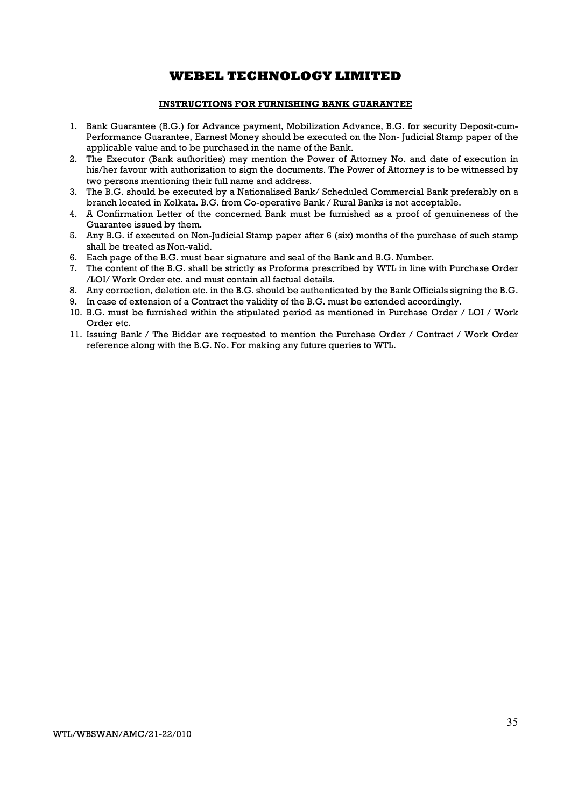### INSTRUCTIONS FOR FURNISHING BANK GUARANTEE

- 1. Bank Guarantee (B.G.) for Advance payment, Mobilization Advance, B.G. for security Deposit-cum-Performance Guarantee, Earnest Money should be executed on the Non- Judicial Stamp paper of the applicable value and to be purchased in the name of the Bank.
- 2. The Executor (Bank authorities) may mention the Power of Attorney No. and date of execution in his/her favour with authorization to sign the documents. The Power of Attorney is to be witnessed by two persons mentioning their full name and address.
- 3. The B.G. should be executed by a Nationalised Bank/ Scheduled Commercial Bank preferably on a branch located in Kolkata. B.G. from Co-operative Bank / Rural Banks is not acceptable.
- 4. A Confirmation Letter of the concerned Bank must be furnished as a proof of genuineness of the Guarantee issued by them.
- 5. Any B.G. if executed on Non-Judicial Stamp paper after 6 (six) months of the purchase of such stamp shall be treated as Non-valid.
- 6. Each page of the B.G. must bear signature and seal of the Bank and B.G. Number.
- 7. The content of the B.G. shall be strictly as Proforma prescribed by WTL in line with Purchase Order /LOI/ Work Order etc. and must contain all factual details.
- 8. Any correction, deletion etc. in the B.G. should be authenticated by the Bank Officials signing the B.G.
- 9. In case of extension of a Contract the validity of the B.G. must be extended accordingly.
- 10. B.G. must be furnished within the stipulated period as mentioned in Purchase Order / LOI / Work Order etc.
- 11. Issuing Bank / The Bidder are requested to mention the Purchase Order / Contract / Work Order reference along with the B.G. No. For making any future queries to WTL.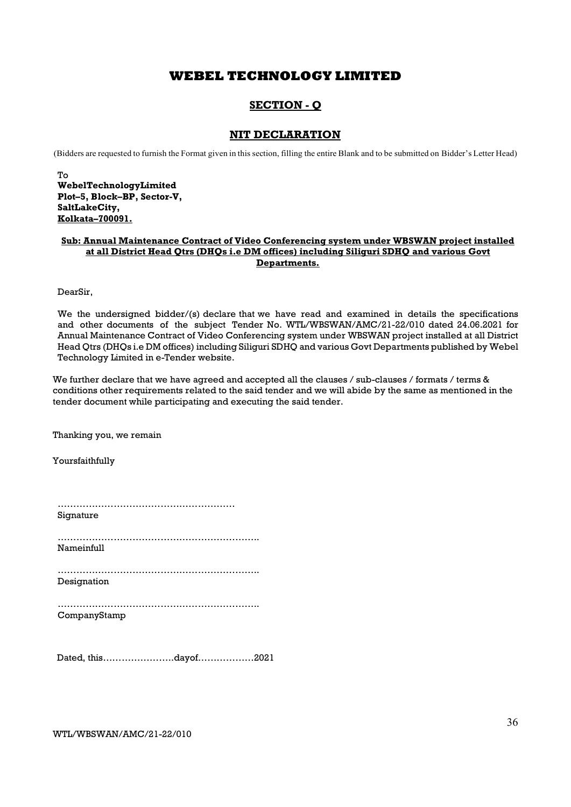### SECTION - Q

### NIT DECLARATION

(Bidders are requested to furnish the Format given in this section, filling the entire Blank and to be submitted on Bidder's Letter Head)

To WebelTechnologyLimited Plot–5, Block–BP, Sector-V, SaltLakeCity, Kolkata–700091.

### Sub: Annual Maintenance Contract of Video Conferencing system under WBSWAN project installed at all District Head Qtrs (DHQs i.e DM offices) including Siliguri SDHQ and various Govt Departments.

DearSir,

We the undersigned bidder/(s) declare that we have read and examined in details the specifications and other documents of the subject Tender No. WTL/WBSWAN/AMC/21-22/010 dated 24.06.2021 for Annual Maintenance Contract of Video Conferencing system under WBSWAN project installed at all District Head Qtrs (DHQs i.e DM offices) including Siliguri SDHQ and various Govt Departments published by Webel Technology Limited in e-Tender website.

We further declare that we have agreed and accepted all the clauses / sub-clauses / formats / terms & conditions other requirements related to the said tender and we will abide by the same as mentioned in the tender document while participating and executing the said tender.

Thanking you, we remain

Yoursfaithfully

| Sionature |  |  |  |  |  |  |  |  |  |  |  |  |  |  |  |  |  |  |  |  |  |  |  |  |  |  |  |  |  |  |  |  |  |  |  |  |  |  |  |  |
|-----------|--|--|--|--|--|--|--|--|--|--|--|--|--|--|--|--|--|--|--|--|--|--|--|--|--|--|--|--|--|--|--|--|--|--|--|--|--|--|--|--|

………………………………………………………………… Nameinfull

……………………………………………………….. Designation

……………………………………………………….. CompanyStamp

Dated, this…………………..dayof………………2021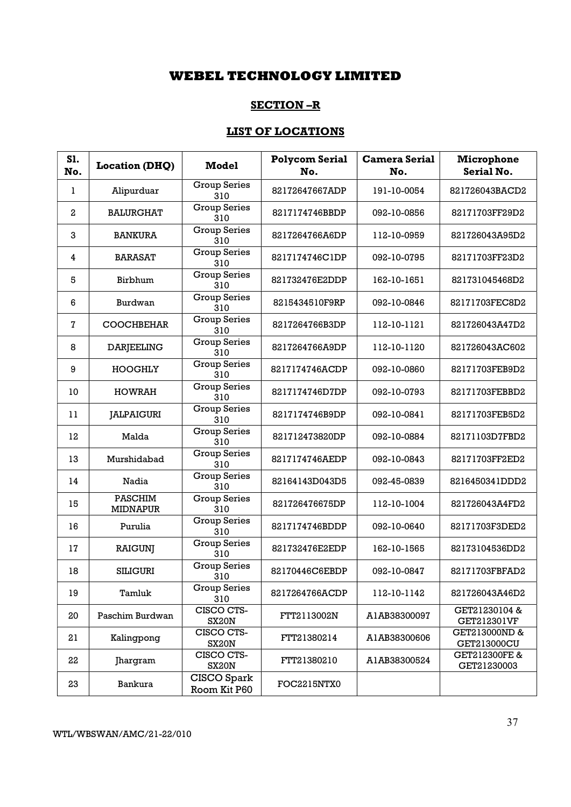### SECTION –R

## LIST OF LOCATIONS

| S1.<br>No.              | <b>Location (DHQ)</b>             | <b>Model</b>                | <b>Polycom Serial</b><br>No. | <b>Camera Serial</b><br>No. | Microphone<br>Serial No.     |
|-------------------------|-----------------------------------|-----------------------------|------------------------------|-----------------------------|------------------------------|
| 1                       | Alipurduar                        | <b>Group Series</b><br>310  | 82172647667ADP               | 191-10-0054                 | 821726043BACD2               |
| $\overline{\mathbf{c}}$ | <b>BALURGHAT</b>                  | <b>Group Series</b><br>310  | 8217174746BBDP               | 092-10-0856                 | 82171703FF29D2               |
| 3                       | <b>BANKURA</b>                    | <b>Group Series</b><br>310  | 8217264766A6DP               | 112-10-0959                 | 821726043A95D2               |
| 4                       | <b>BARASAT</b>                    | <b>Group Series</b><br>310  | 8217174746C1DP               | 092-10-0795                 | 82171703FF23D2               |
| 5                       | Birbhum                           | Group Series<br>310         | 821732476E2DDP               | 162-10-1651                 | 821731045468D2               |
| 6                       | Burdwan                           | <b>Group Series</b><br>310  | 8215434510F9RP               | 092-10-0846                 | 82171703FEC8D2               |
| 7                       | <b>COOCHBEHAR</b>                 | <b>Group Series</b><br>310  | 8217264766B3DP               | 112-10-1121                 | 821726043A47D2               |
| 8                       | <b>DARJEELING</b>                 | <b>Group Series</b><br>310  | 8217264766A9DP               | 112-10-1120                 | 821726043AC602               |
| 9                       | HOOGHLY                           | <b>Group Series</b><br>310  | 8217174746ACDP               | 092-10-0860                 | 82171703FEB9D2               |
| 10                      | <b>HOWRAH</b>                     | <b>Group Series</b><br>310  | 8217174746D7DP               | 092-10-0793                 | 82171703FEBBD2               |
| 11                      | <b>JALPAIGURI</b>                 | <b>Group Series</b><br>310  | 8217174746B9DP               | 092-10-0841                 | 82171703FEB5D2               |
| 12                      | Malda                             | <b>Group Series</b><br>310  | 821712473820DP               | 092-10-0884                 | 82171103D7FBD2               |
| 13                      | Murshidabad                       | <b>Group Series</b><br>310  | 8217174746AEDP               | 092-10-0843                 | 82171703FF2ED2               |
| 14                      | Nadia                             | <b>Group Series</b><br>310  | 82164143D043D5               | 092-45-0839                 | 8216450341DDD2               |
| 15                      | <b>PASCHIM</b><br><b>MIDNAPUR</b> | <b>Group Series</b><br>310  | 821726476675DP               | 112-10-1004                 | 821726043A4FD2               |
| 16                      | Purulia                           | <b>Group Series</b><br>310  | 8217174746BDDP               | 092-10-0640                 | 82171703F3DED2               |
| 17                      | <b>RAIGUNJ</b>                    | <b>Group Series</b><br>310  | 821732476E2EDP               | 162-10-1565                 | 82173104536DD2               |
| 18                      | <b>SILIGURI</b>                   | <b>Group Series</b><br>310  | 82170446C6EBDP               | 092-10-0847                 | 82171703FBFAD2               |
| 19                      | Tamluk                            | <b>Group Series</b><br>310  | 8217264766ACDP               | 112-10-1142                 | 821726043A46D2               |
| 20                      | Paschim Burdwan                   | CISCO CTS-<br><b>SX20N</b>  | FTT2113002N                  | A1AB38300097                | GET21230104 &<br>GET212301VF |
| 21                      | Kalingpong                        | CISCO CTS-<br><b>SX20N</b>  | FTT21380214                  | A1AB38300606                | GET213000ND &<br>GET213000CU |
| 22                      | Jhargram                          | CISCO CTS-<br><b>SX20N</b>  | FTT21380210                  | A1AB38300524                | GET212300FE &<br>GET21230003 |
| 23                      | Bankura                           | CISCO Spark<br>Room Kit P60 | FOC2215NTX0                  |                             |                              |